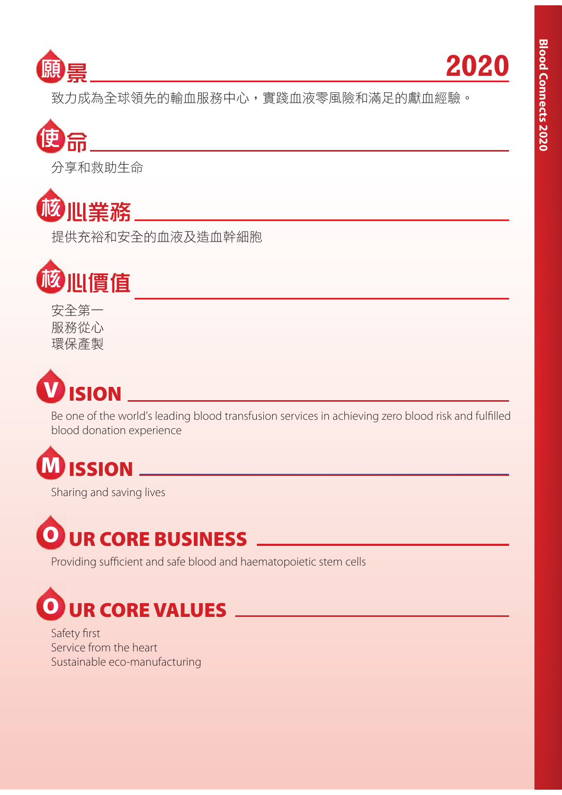



致力成為全球領先的輸血服務中心,實踐血液零風險和滿足的獻血經驗。



分享和救助生命



提供充裕和安全的血液及造血幹細胞



安全第一 服務從心 環保產製



Be one of the world's leading blood transfusion services in achieving zero blood risk and fulfilled blood donation experience

# **M ISSION**

Sharing and saving lives



Providing sufficient and safe blood and haematopoietic stem cells

# **O UR CORE VALUES**

Safety first Service from the heart Sustainable eco-manufacturing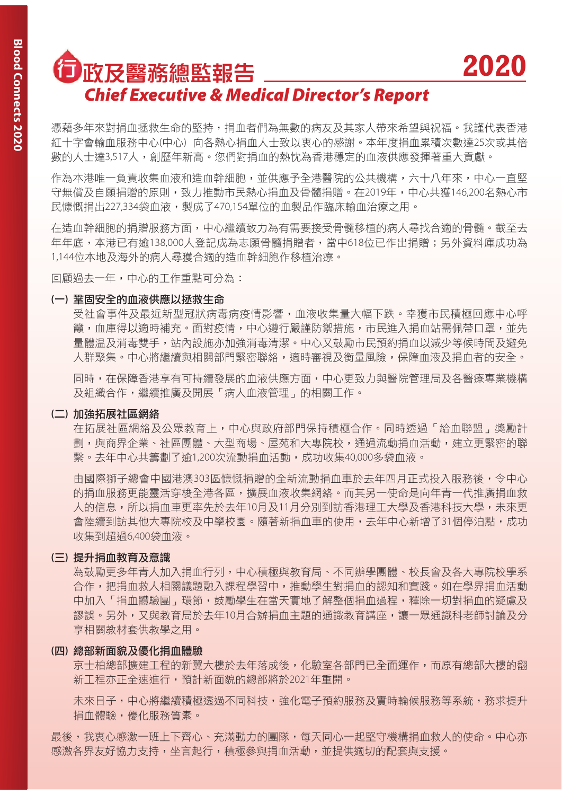## □政及醫務總監報告 *Chief Executive & Medical Director's Report*

憑藉多年來對捐血拯救生命的堅持,捐血者們為無數的病友及其家人帶來希望與祝福。我謹代表香港 糽十字會輸血服務中心(中心) 向各熱心捐血人十致以衷心的感謝。本年度捐血累積次數達25次或其倍 數的人士達3,517人,創歷年新高。您們對捐血的熱忱為香港穩定的血液供應發揮著重大貢獻。

**2020**

作為本港唯一負責收集血液和造血幹細胞,並供應予全港醫院的公共機構,六十八年來,中心一直堅 守無儅及白願捐贈的原則,致力推動市民熱心捐血及骨髓捐贈。在2019年,中心共獲146.200名熱心市 民慷慨捐出227,334袋血液,製成了470,154單位的血製品作臨床輸血治療之用。

在浩血幹細胞的捐贈服務方面,中心繼續致力為有需要接受骨髓移植的病人尋找合滴的骨髓。截至去 年年底,本港已有逾138,000人登記成為志願骨髓捐贈者,當中618位已作出捐贈;另外資料庫成功為 1,144位本地及海外的病人尋獲合適的造血幹細胞作移植治療。

回顧過去一年,中心的工作重點可分為:

#### (一) 鞏固安全的血液供應以拯救生命

受社會事件及最近新型冠狀病毒病疫情影響,血液收集暈大幅下跌。幸獲市民積極回應中心呼 籲,血庫得以滴時補充。面對疫情,中心遵行嚴謹防禦措施,市民進入捐血站需佩帶口罩,並先 暈體温及消毒雙手,站內設施亦加強消毒清潔。中心又鼓勵市民預約捐血以減少等候時間及避免 人群聚集。中心將繼續與相關部門緊密聯絡,適時審視及衡暈風險,保障血液及捐血者的安全。

同時,在保障香港享有可持續發展的血液供應方面,中心更致力與醫院管理局及各醫療專業機構 及組織合作,繼續推廣及開展「病人血液管理」的相關工作。

### (二) 加強拓展社區網絡

在拓展社區網絡及公眾教育上,中心與政府部門保持積極合作。同時透過「給血聯盟」獎勵計 劃,與商界企業、社區團體、大型商場、屋苑和大專院校,涌過流動捐血活動,建立更緊密的聯 繫。去年中心共籌劃了逾1,200次流動捐血活動,成功收集40,000多袋血液。

由國際獅子總會中國港澳303區慷慨捐贈的全新流動捐血車於去年四月正式投入服務後,令中心 的捐血服務更能靈活穿楼全港各區,擴展血液收集網絡。而其另一使命是向年青一代推廣捐血救 人的信息,所以捐血車更率先於去年10月及11月分別到訪香港理工大學及香港科技大學,未來更 會陸續到訪其他大專院校及中學校園。隨著新捐血車的使用,去年中心新增了31個停泊點,成功 收集到超過6,400袋血液。

#### (三) 提升捐血教育及意識

為鼓勵更多年青人加入捐而行列,中心積極與教育局、不同辦學團體、校長會及各大專院校學系 合作,把捐血救人相關議題融入課程學習中,推動學生對捐血的認知和實踐。如在學界捐血活動 中加入「捐血體驗團,環節,鼓勵學生在當天實地了解整個捐血過程,釋除一切對捐血的疑慮及 謬誤。另外,又與教育局於去年10月合辦捐血主題的通識教育講座,讓一眾通識科老師討論及分 享相關教材套供教學之用。

### (四) 總部新面貌及優化捐血體驗

京十柏總部旛律丁程的新翼大樓於去年落成後,化驗室各部門已全面運作,而原有總部大樓的翻 新工程亦正全速進行,預計新面貌的總部將於2021年重開。

未來日子,中心將繼續積極透過不同科技,強化電子預約服務及實時輪候服務等系統,務求提升 捐血體驗,優化服務質素。

最後,我衷心感激一班上下齊心、充滿動力的團隊,每天同心一起堅守機構捐血救人的使命。中心亦 感激各界友好協力支持,坐言起行,積極參與捐血活動,並提供適切的配套與支援。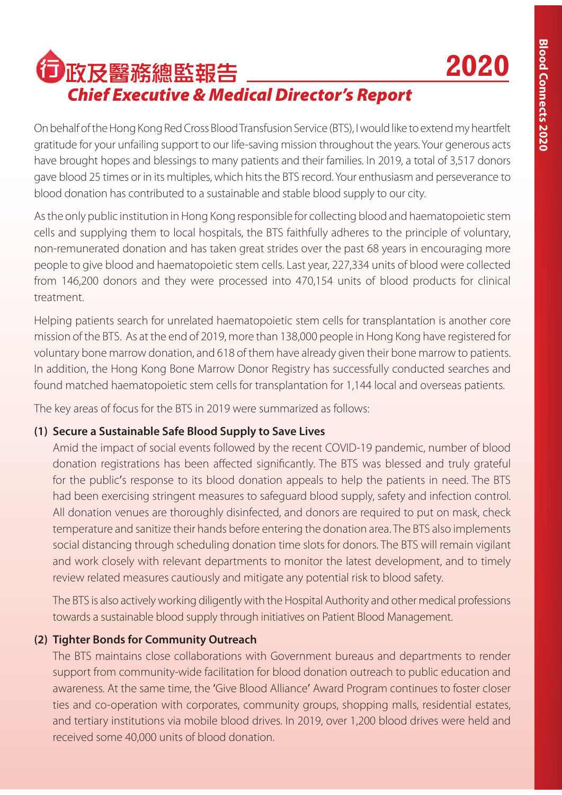**2020**

# □政及醫務總監報告 *Chief Executive & Medical Director's Report*

On behalf of the Hong Kong Red Cross Blood Transfusion Service (BTS), I would like to extend my heartfelt gratitude for your unfailing support to our life-saving mission throughout the years. Your generous acts have brought hopes and blessings to many patients and their families. In 2019, a total of 3,517 donors gave blood 25 times or in its multiples, which hits the BTS record. Your enthusiasm and perseverance to blood donation has contributed to a sustainable and stable blood supply to our city.

As the only public institution in Hong Kong responsible for collecting blood and haematopoietic stem cells and supplying them to local hospitals, the BTS faithfully adheres to the principle of voluntary, non-remunerated donation and has taken great strides over the past 68 years in encouraging more people to give blood and haematopoietic stem cells. Last year, 227,334 units of blood were collected from 146,200 donors and they were processed into 470,154 units of blood products for clinical treatment.

Helping patients search for unrelated haematopoietic stem cells for transplantation is another core mission of the BTS. As at the end of 2019, more than 138,000 people in Hong Kong have registered for voluntary bone marrow donation, and 618 of them have already given their bone marrow to patients. In addition, the Hong Kong Bone Marrow Donor Registry has successfully conducted searches and found matched haematopoietic stem cells for transplantation for 1,144 local and overseas patients.

The key areas of focus for the BTS in 2019 were summarized as follows:

### **(1) Secure a Sustainable Safe Blood Supply to Save Lives**

 Amid the impact of social events followed by the recent COVID-19 pandemic, number of blood donation registrations has been affected significantly. The BTS was blessed and truly grateful for the public's response to its blood donation appeals to help the patients in need. The BTS had been exercising stringent measures to safeguard blood supply, safety and infection control. All donation venues are thoroughly disinfected, and donors are required to put on mask, check temperature and sanitize their hands before entering the donation area. The BTS also implements social distancing through scheduling donation time slots for donors. The BTS will remain vigilant and work closely with relevant departments to monitor the latest development, and to timely review related measures cautiously and mitigate any potential risk to blood safety.

 The BTS is also actively working diligently with the Hospital Authority and other medical professions towards a sustainable blood supply through initiatives on Patient Blood Management.

### **(2) Tighter Bonds for Community Outreach**

 The BTS maintains close collaborations with Government bureaus and departments to render support from community-wide facilitation for blood donation outreach to public education and awareness. At the same time, the 'Give Blood Alliance' Award Program continues to foster closer ties and co-operation with corporates, community groups, shopping malls, residential estates, and tertiary institutions via mobile blood drives. In 2019, over 1,200 blood drives were held and received some 40,000 units of blood donation.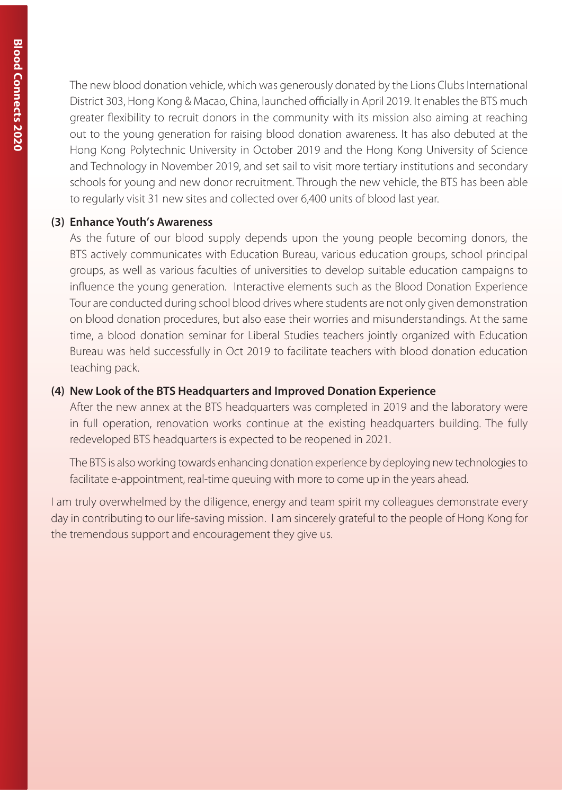The new blood donation vehicle, which was generously donated by the Lions Clubs International District 303, Hong Kong & Macao, China, launched officially in April 2019. It enables the BTS much greater flexibility to recruit donors in the community with its mission also aiming at reaching out to the young generation for raising blood donation awareness. It has also debuted at the Hong Kong Polytechnic University in October 2019 and the Hong Kong University of Science and Technology in November 2019, and set sail to visit more tertiary institutions and secondary schools for young and new donor recruitment. Through the new vehicle, the BTS has been able to regularly visit 31 new sites and collected over 6,400 units of blood last year.

### **(3) Enhance Youth's Awareness**

 As the future of our blood supply depends upon the young people becoming donors, the BTS actively communicates with Education Bureau, various education groups, school principal groups, as well as various faculties of universities to develop suitable education campaigns to influence the young generation. Interactive elements such as the Blood Donation Experience Tour are conducted during school blood drives where students are not only given demonstration on blood donation procedures, but also ease their worries and misunderstandings. At the same time, a blood donation seminar for Liberal Studies teachers jointly organized with Education Bureau was held successfully in Oct 2019 to facilitate teachers with blood donation education teaching pack.

### **(4) New Look of the BTS Headquarters and Improved Donation Experience**

 After the new annex at the BTS headquarters was completed in 2019 and the laboratory were in full operation, renovation works continue at the existing headquarters building. The fully redeveloped BTS headquarters is expected to be reopened in 2021.

 The BTS is also working towards enhancing donation experience by deploying new technologies to facilitate e-appointment, real-time queuing with more to come up in the years ahead.

I am truly overwhelmed by the diligence, energy and team spirit my colleagues demonstrate every day in contributing to our life-saving mission. I am sincerely grateful to the people of Hong Kong for the tremendous support and encouragement they give us.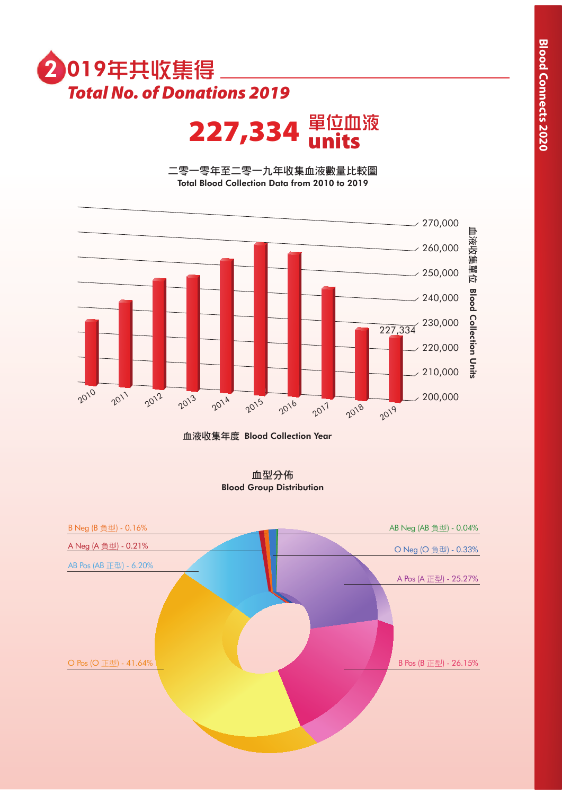

 $227,334$  單位血液

二零一零年至二零一九年收集血液數量比較圖 Total Blood Collection Data from 2010 to 2019



血液收集年度 Blood Collection Year

血型分佈 Blood Group Distribution

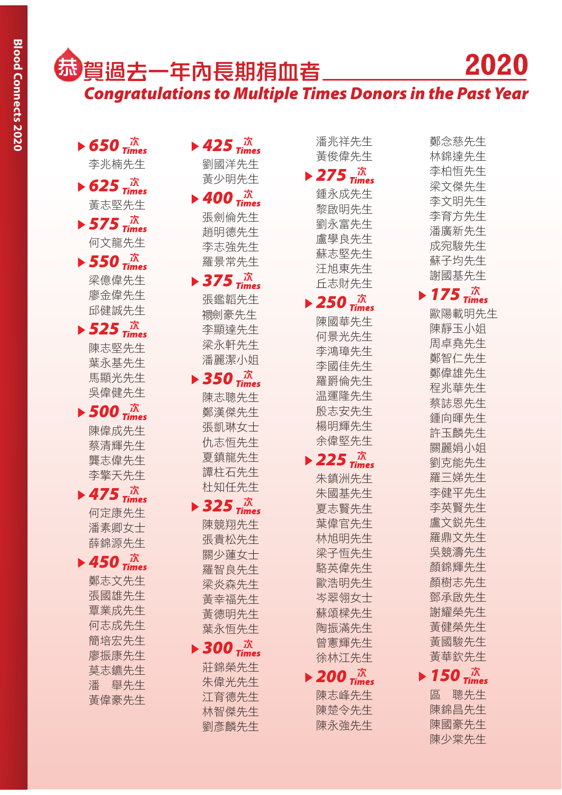## **「 賀過去一年內長期捐血者\_\_\_\_\_\_\_\_** *Congratulations to Multiple Times Donors in the Past Year* **2020**

- $\triangleright$  650  $\frac{\pi}{2}$ 李兆楠先生
- $\triangleright$  625  $\vec{x}$ 黃志堅先生  $\triangleright$  575  $\vec{x}$
- 何文龍先生  $\triangleright$  550  $\vec{x}$
- 梁億偉先生 廖金偉先生 邱健誠先生
- $\triangleright$  525  $\frac{\pi}{\text{times}}$ 陳志堅先生 葉永基先生 馬顯光先生 吳偉健先生
- $\triangleright$  500  $\vec{x}$ 陳偉成先生 蔡清輝先生 壟志偉先生 李擎天先生
- $\blacktriangleright$  475  $\vec{m}$ 何定康先生 潘素卿女士 薛錦源先生

 $\triangleright$  450  $\vec{a}$ 鄭志文先生 張國雄先生 覃業成先生 何志成先生 簡培宏先生 廖振康先生 莫志鑣先生 潘 舉先生 黃偉豪先生

 $\blacktriangleright$  425  $\frac{\pi}{2}$ 劉國洋先生 黃少明先生

- $\blacktriangleright$  400  $\vec{a}$ <sup> $\vec{x}$ </sup> 張劍倫先生 趙明德先生 李志強先生 羅景常先生  $\triangleright$  375  $\vec{x}$
- 張鑑韜先生 禤劍豪先生 李顯達先生 梁永軒先生 潘麗潔小姐
- $\blacktriangleright$  350  $\vec{x}$ 陳志聰先生 鄭漢傑先生 張凱琳女十 仇志恒先生 夏鎮龍先生 譚柱石先生 朴知任先生
- $\triangleright$  325  $\frac{\pi}{\text{times}}$ 陳競翔先生 張貴松先生 關少蓮女士 羅智良先生 梁炎森先生 黃幸福先生 黃德明先生 葉永恒先生
- $\blacktriangleright$  300  $\frac{\pi}{\text{times}}$ 莊錦榮先生 朱偉光先生 江育德先生 林智傑先生 劉彦麟先生

潘兆祥先生 黃俊偉先生

### $\triangleright$  275  $\vec{x}$ 鍾永成先生

黎啟明先生 劉永富先生 盧學良先生 蘇志堅先生 汪旭東先生 丘志財先生  $\triangleright$  250  $\vec{x}$ 陳國華先生 何景光先生 李鴻璋先生 李國佳先生

> 羅爵倫先生 温渾降先生 殷志安先生 楊明輝先生 余偉堅先生

- $\triangleright$  225  $\overline{m}$ 朱鎮洲先生 朱國基先生 夏志賢先生 葉偉官先生 林旭明先生 梁子恒先生 駱英偉先生 歐浩明先生 岑翠翎女十 蘇頌樑先生 陶振滿先生 曾憲輝先生 徐林汀先生
- $\blacktriangleright$  200  $\frac{\pi}{2}$

陳志峰先生 陳楚令先生 陳永強先生

鄭念慈先生 林錦達先生 李柏恒先生 梁文傑先生 李文明先生 李育方先生 潘廣新先生 成宛駿先生 蘇子均先生 謝國基先生  $\triangleright$  175  $\frac{\pi}{\text{times}}$ 歐陽載明先生 陳靜玉小姐 周卓堯先生 鄭智仁先生 鄭偉雄先生 程兆華先生 蔡誌恩先生 鍾向暉先生 許玉麟先生 關麗娟小姐 劉克能先生 羅三娣先生 李健平先生 李英賢先生 盧文鋭先生 羅鼎文先生 吳競濤先生 顏錦輝先生 顏樹志先生 鄧承啟先生 謝耀榮先生 黃健榮先生 黃國駿先生 黃華欽先生  $\triangleright$  150  $\vec{m}$ 

區 聰先生 陳錦昌先生 陳國豪先生 陳少棠先生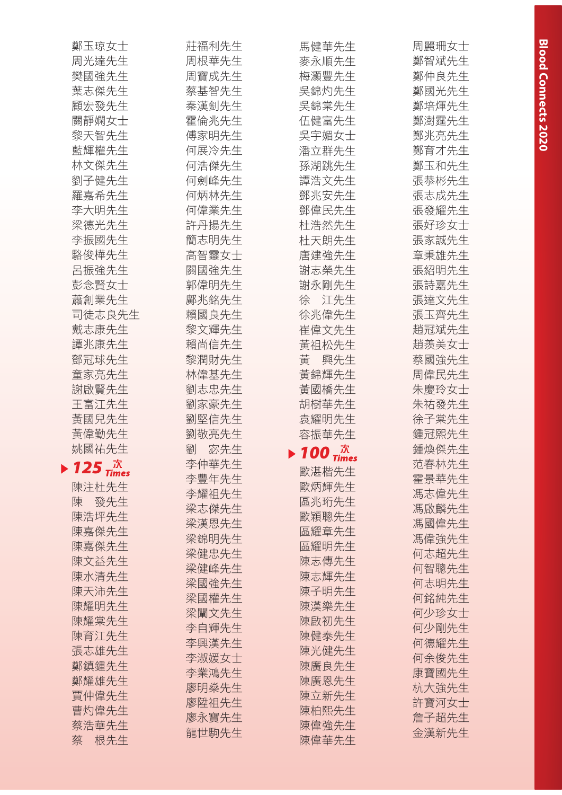| 鄭玉琼女士         | 莊福利先生    | 馬健華先生                                                   | 周麗珊女士 |
|---------------|----------|---------------------------------------------------------|-------|
| 周光達先生         | 周根華先生    | 麥永順先生                                                   | 鄭智斌先生 |
| 樊國強先生         | 周寶成先生    | 梅灝豐先生                                                   | 鄭仲良先生 |
| 葉志傑先生         | 蔡基智先生    | 吳錦灼先生                                                   | 鄭國光先生 |
| 顧宏發先生         | 秦漢釗先生    | 吳錦棠先生                                                   | 鄭培煇先生 |
| 關靜嫻女士         | 霍倫兆先生    | 伍健富先生                                                   | 鄭澍霆先生 |
| 黎天智先生         | 傅家明先生    | 吳宇媚女士                                                   | 鄭兆亮先生 |
| 藍輝權先生         | 何展冷先生    | 潘立群先生                                                   | 鄭育才先生 |
| 林文傑先生         | 何浩傑先生    | 孫湖跳先生                                                   | 鄭玉和先生 |
| 劉子健先生         | 何劍峰先生    | 譚浩文先生                                                   | 張恭彬先生 |
| 羅嘉希先生         | 何炳林先生    | 鄧兆安先生                                                   | 張志成先生 |
| 李大明先生         | 何偉業先生    | 鄧偉民先生                                                   | 張發耀先生 |
| 梁德光先生         | 許丹揚先生    | 杜浩然先生                                                   | 張好珍女士 |
| 李振國先生         | 簡志明先生    | 杜天朗先生                                                   | 張家誠先生 |
| 駱俊樺先生         | 高智靈女士    | 唐建強先生                                                   | 章秉雄先生 |
| 呂振強先生         | 關國強先生    | 謝志榮先生                                                   | 張紹明先生 |
| 彭念賢女士         | 郭偉明先生    | 謝永剛先生                                                   | 張詩嘉先生 |
| 蕭創業先生         | 鄺兆銘先生    | 徐 江先生                                                   | 張達文先生 |
| 司徒志良先生        | 賴國良先生    | 徐兆偉先生                                                   | 張玉齊先生 |
| 戴志康先生         | 黎文輝先生    | 崔偉文先生                                                   | 趙冠斌先生 |
| 譚兆康先生         | 賴尚信先生    | 黃祖松先生                                                   | 趙羨美女士 |
| 鄧冠球先生         | 黎潤財先生    | 黃<br>興先生                                                | 蔡國強先生 |
| 童家亮先生         | 林偉基先生    | 黃錦輝先生                                                   | 周偉民先生 |
| 謝啟賢先生         | 劉志忠先生    | 黃國橋先生                                                   | 朱慶玲女士 |
| 王富江先生         | 劉家豪先生    | 胡樹華先生                                                   | 朱祐發先生 |
| 黃國兒先生         | 劉堅信先生    | 袁耀明先生                                                   | 徐子棠先生 |
| 黃偉勤先生         | 劉敬亮先生    | 容振華先生                                                   | 鍾冠熙先生 |
| 姚國祐先生         | 宓先生<br>劉 |                                                         | 鍾煥傑先生 |
|               | 李仲華先生    | $\blacktriangleright$ 100 $^{\text{TR}}_{\text{Times}}$ | 范春林先生 |
| 125 $\vec{m}$ | 李豐年先生    | 歐湛楷先生                                                   | 霍景華先生 |
| 陳注杜先生         | 李耀祖先生    | 歐炳輝先生                                                   | 馮志偉先生 |
| 陳<br>發先生      | 梁志傑先生    | 區兆珩先生                                                   | 馮啟麟先生 |
| 陳浩坪先生         | 梁漢恩先生    | 歐穎聰先生                                                   | 馮國偉先生 |
| 陳嘉傑先生         | 梁錦明先生    | 區耀章先生                                                   | 馮偉強先生 |
| 陳嘉傑先生         | 梁健忠先生    | 區耀明先生                                                   | 何志超先生 |
| 陳文益先生         | 梁健峰先生    | 陳志傳先生                                                   | 何智聰先生 |
| 陳水清先生         | 梁國強先生    | 陳志輝先生                                                   | 何志明先生 |
| 陳天沛先生         | 梁國權先生    | 陳子明先生                                                   | 何銘純先生 |
| 陳耀明先生         | 梁闡文先生    | 陳漢樂先生                                                   | 何少珍女士 |
| 陳耀棠先生         | 李自輝先生    | 陳啟初先生                                                   | 何少剛先生 |
| 陳育江先生         | 李興漢先生    | 陳健泰先生                                                   | 何德耀先生 |
| 張志雄先生         | 李淑媛女士    | 陳光健先生                                                   | 何余俊先生 |
| 鄭鎮鍾先生         | 李業鴻先生    | 陳廣良先生                                                   | 康寶國先生 |
| 鄭耀雄先生         | 廖明燊先生    | 陳廣恩先生                                                   | 杭大強先生 |
| 賈仲偉先生         | 廖陞祖先生    | 陳立新先生                                                   | 許寶河女士 |
| 曹灼偉先生         | 廖永寶先生    | 陳柏熙先生                                                   | 詹子超先生 |
| 蔡浩華先生         | 龍世駒先生    | 陳偉強先生                                                   | 金漢新先生 |
| 蔡<br>根先生      |          | 陳偉華先生                                                   |       |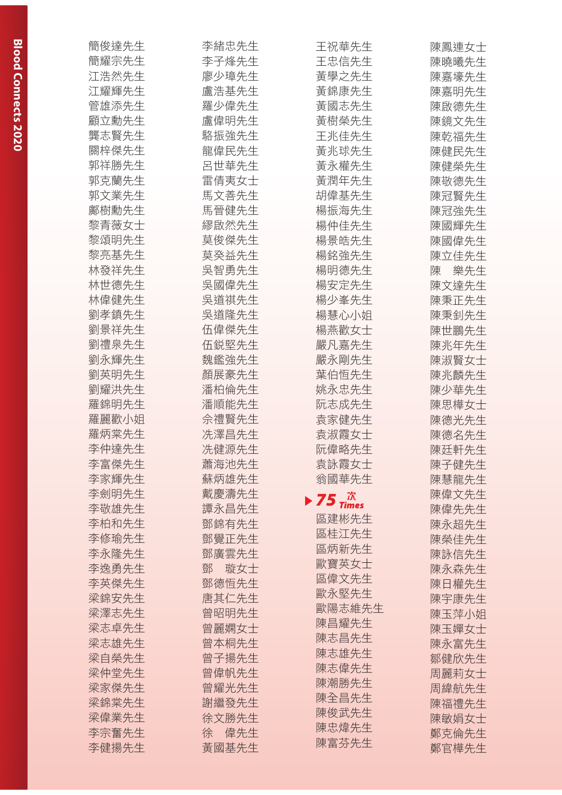| 簡俊達先生 | 李緒忠先生    | 王祝華先生                                            | 陳鳳連女士    |
|-------|----------|--------------------------------------------------|----------|
| 簡耀宗先生 | 李子烽先生    | 王忠信先生                                            | 陳曉曦先生    |
| 江浩然先生 | 廖少璋先生    | 黃學之先生                                            | 陳嘉壕先生    |
| 江耀輝先生 | 盧浩基先生    | 黃錦康先生                                            | 陳嘉明先生    |
| 管雄添先生 | 羅少偉先生    | 黃國志先生                                            | 陳啟德先生    |
| 顧立勳先生 | 盧偉明先生    | 黃樹榮先生                                            | 陳鏡文先生    |
| 龔志賢先生 | 駱振強先生    | 王兆佳先生                                            | 陳乾福先生    |
| 關梓傑先生 | 龍偉民先生    | 黃兆球先生                                            | 陳健民先生    |
| 郭祥勝先生 | 呂世華先生    | 黃永權先生                                            | 陳健榮先生    |
| 郭克蘭先生 | 雷倩夷女士    | 黃潤年先生                                            | 陳敬德先生    |
| 郭文業先生 | 馬文善先生    | 胡偉基先生                                            | 陳冠賢先生    |
| 鄺樹勳先生 | 馬晉健先生    | 楊振海先生                                            | 陳冠強先生    |
| 黎青薇女士 | 繆啟然先生    | 楊仲佳先生                                            | 陳國輝先生    |
| 黎頌明先生 | 莫俊傑先生    | 楊景皓先生                                            | 陳國偉先生    |
| 黎亮基先生 | 莫癸益先生    | 楊銘強先生                                            | 陳立佳先生    |
| 林發祥先生 | 吳智勇先生    | 楊明德先生                                            | 樂先生<br>陳 |
| 林世德先生 | 吳國偉先生    | 楊安定先生                                            | 陳文達先生    |
| 林偉健先生 | 吳道祺先生    | 楊少峯先生                                            | 陳秉正先生    |
| 劉孝鎮先生 | 吳道隆先生    | 楊慧心小姐                                            | 陳秉釗先生    |
| 劉景祥先生 | 伍偉傑先生    | 楊燕歡女士                                            | 陳世鵬先生    |
| 劉禮泉先生 | 伍鋭堅先生    | 嚴凡嘉先生                                            | 陳兆年先生    |
| 劉永輝先生 | 魏鑑強先生    | 嚴永剛先生                                            | 陳淑賢女士    |
| 劉英明先生 | 顏展豪先生    | 葉伯恒先生                                            | 陳兆麟先生    |
| 劉耀洪先生 | 潘柏倫先生    | 姚永忠先生                                            | 陳少華先生    |
| 羅錦明先生 | 潘順能先生    | 阮志成先生                                            | 陳思樺女士    |
| 羅麗歡小姐 | 佘禮賢先生    | 袁家健先生                                            | 陳德光先生    |
| 羅炳棠先生 | 冼澤昌先生    | 袁淑霞女士                                            | 陳德名先生    |
| 李仲達先生 | 冼健源先生    | 阮偉略先生                                            | 陳廷軒先生    |
| 李富傑先生 | 蕭海池先生    | 袁詠霞女士                                            | 陳子健先生    |
| 李家輝先生 | 蘇炳雄先生    | 翁國華先生                                            | 陳慧龍先生    |
| 李劍明先生 | 戴慶濤先生    | $\blacktriangleright$ 75 $^{\pi}_{\text{times}}$ | 陳偉文先生    |
| 李敬雄先生 | 譚永昌先生    |                                                  | 陳偉先先生    |
| 李柏和先生 | 鄧錦有先生    | 區建彬先生                                            | 陳永超先生    |
| 李修瑜先生 | 鄧覺正先生    | 區桂江先生                                            | 陳榮佳先生    |
| 李永隆先生 | 鄧廣雲先生    | 區炳新先生                                            | 陳詠信先生    |
| 李逸勇先生 | 鄧<br>璇女士 | 歐寶英女士                                            | 陳永森先生    |
| 李英傑先生 | 鄧德恒先生    | 區偉文先生                                            | 陳日權先生    |
| 梁錦安先生 | 唐其仁先生    | 歐永堅先生                                            | 陳宇康先生    |
| 梁澤志先生 | 曾昭明先生    | 歐陽志維先生                                           | 陳玉萍小姐    |
| 梁志卓先生 | 曾麗嫻女士    | 陳昌耀先生                                            | 陳玉嬋女士    |
| 梁志雄先生 | 曾本桐先生    | 陳志昌先生                                            | 陳永富先生    |
| 梁自榮先生 | 曾子揚先生    | 陳志雄先生                                            | 鄒健欣先生    |
| 梁仲堂先生 | 曾偉帆先生    | 陳志偉先生                                            | 周麗莉女士    |
| 梁家傑先生 | 曾耀光先生    | 陳潮勝先生                                            | 周緯航先生    |
| 梁錦棠先生 | 謝繼發先生    | 陳全昌先生                                            | 陳福禮先生    |
| 梁偉業先生 | 徐文勝先生    | 陳俊武先生                                            | 陳敏娟女士    |
| 李宗奮先生 | 偉先生<br>徐 | 陳忠煒先生                                            | 鄭克倫先生    |
| 李健揚先生 | 黃國基先生    | 陳富芬先生                                            | 鄭官樺先生    |
|       |          |                                                  |          |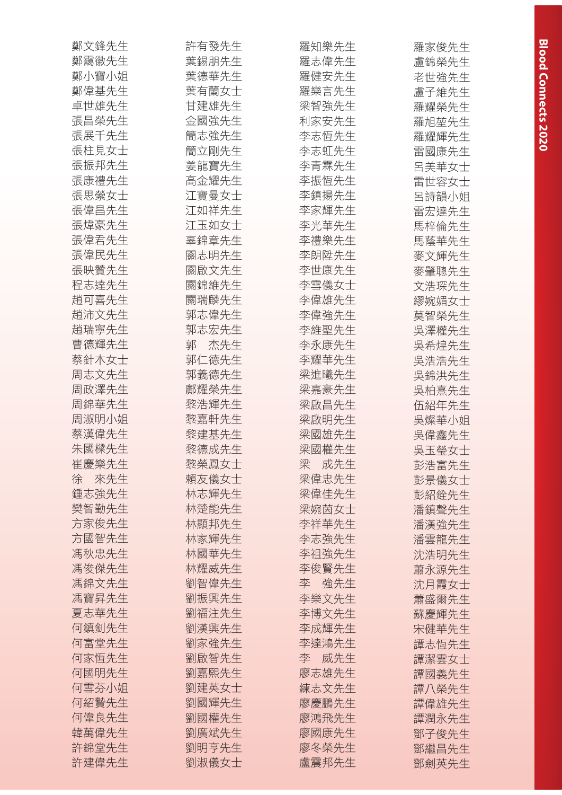| 鄭文鋒先生    | 許有發先生             | 羅知樂先生    | 羅家俊先生          |
|----------|-------------------|----------|----------------|
| 鄭靄徽先生    | 葉錫朋先生             | 羅志偉先生    | 盧錦榮先生          |
| 鄭小寶小姐    | 葉德華先生             | 羅健安先生    | 老世強先生          |
| 鄭偉基先生    | 葉有蘭女士             | 羅樂言先生    | 盧子維先生          |
| 卓世雄先生    | 甘建雄先生             | 梁智強先生    | 羅耀榮先生          |
| 張昌榮先生    | 金國強先生             | 利家安先生    | 羅旭堃先生          |
| 張展千先生    | 簡志強先生             | 李志恒先生    | 羅耀輝先生          |
| 張柱見女士    | 簡立剛先生             | 李志虹先生    | 雷國康先生          |
| 張振邦先生    | 姜龍寶先生             | 李青霖先生    | 呂美華女士          |
| 張康禮先生    | 高金耀先生             | 李振恒先生    | 雷世容女士          |
| 張思縈女士    | 江寶曼女士             | 李鎮揚先生    | 呂詩韻小姐          |
| 張偉昌先生    | 江如祥先生             | 李家輝先生    | 雷宏達先生          |
| 張煒豪先生    | 江玉如女士             | 李光華先生    | 馬梓倫先生          |
| 張偉君先生    | 辜錦章先生             | 李禮樂先生    | 馬蔭華先生          |
| 張偉民先生    | 關志明先生             | 李朗陞先生    | 麥文輝先生          |
| 張映贊先生    | 關啟文先生             | 李世康先生    | 麥肇聰先生          |
| 程志達先生    | 關錦維先生             | 李雪儀女士    | 文浩琛先生          |
| 趙可喜先生    | 關瑞麟先生             | 李偉雄先生    |                |
| 趙沛文先生    | 郭志偉先生             | 李偉強先生    | 繆婉媚女士<br>莫智榮先生 |
| 趙瑞寧先生    | 郭志宏先生             | 李維聖先生    |                |
|          |                   |          | 吳澤權先生          |
| 曹德輝先生    | 郭<br>杰先生<br>郭仁德先生 | 李永康先生    | 吳希煌先生          |
| 蔡針木女士    |                   | 李耀華先生    | 吳浩浩先生          |
| 周志文先生    | 郭義德先生             | 梁進曦先生    | 吳錦洪先生          |
| 周政澤先生    | 鄺耀榮先生             | 梁嘉豪先生    | 吳柏熹先生          |
| 周錦華先生    | 黎浩輝先生             | 梁啟昌先生    | 伍紹年先生          |
| 周淑明小姐    | 黎嘉軒先生             | 梁啟明先生    | 吳燦華小姐          |
| 蔡漢偉先生    | 黎建基先生             | 梁國雄先生    | 吳偉鑫先生          |
| 朱國樑先生    | 黎德成先生             | 梁國權先生    | 吳玉瑩女士          |
| 崔慶樂先生    | 黎榮鳳女士             | 梁<br>成先生 | 彭浩富先生          |
| 來先生<br>徐 | 賴友儀女士             | 梁偉忠先生    | 彭景儀女士          |
| 鍾志強先生    | 林志輝先生             | 梁偉佳先生    | 彭紹銓先生          |
| 樊智勤先生    | 林楚能先生             | 梁婉茵女士    | 潘鎮聲先生          |
| 方家俊先生    | 林顯邦先生             | 李祥華先生    | 潘漢強先生          |
| 方國智先生    | 林家輝先生             | 李志強先生    | 潘雲龍先生          |
| 馮秋忠先生    | 林國華先生             | 李祖強先生    | 沈浩明先生          |
| 馮俊傑先生    | 林耀威先生             | 李俊賢先生    | 蕭永源先生          |
| 馮錦文先生    | 劉智偉先生             | 強先生<br>李 | 沈月霞女士          |
| 馮寶昇先生    | 劉振興先生             | 李樂文先生    | 蕭盛爾先生          |
| 夏志華先生    | 劉福注先生             | 李博文先生    | 蘇慶輝先生          |
| 何鎮釗先生    | 劉漢興先生             | 李成輝先生    | 宋健華先生          |
| 何富堂先生    | 劉家強先生             | 李達鴻先生    | 譚志恒先生          |
| 何家恒先生    | 劉啟智先生             | 李<br>威先生 | 譚潔雲女士          |
| 何國明先生    | 劉嘉熙先生             | 廖志雄先生    | 譚國義先生          |
| 何雪芬小姐    | 劉建英女士             | 練志文先生    | 譚八榮先生          |
| 何紹贄先生    | 劉國輝先生             | 廖慶鵬先生    | 譚偉雄先生          |
| 何偉良先生    | 劉國權先生             | 廖鴻飛先生    | 譚潤永先生          |
| 韓萬偉先生    | 劉廣斌先生             | 廖國康先生    | 鄧子俊先生          |
| 許錦堂先生    | 劉明亨先生             | 廖冬榮先生    | 鄧繼昌先生          |
| 許建偉先生    | 劉淑儀女士             | 盧震邦先生    | 鄧劍英先生          |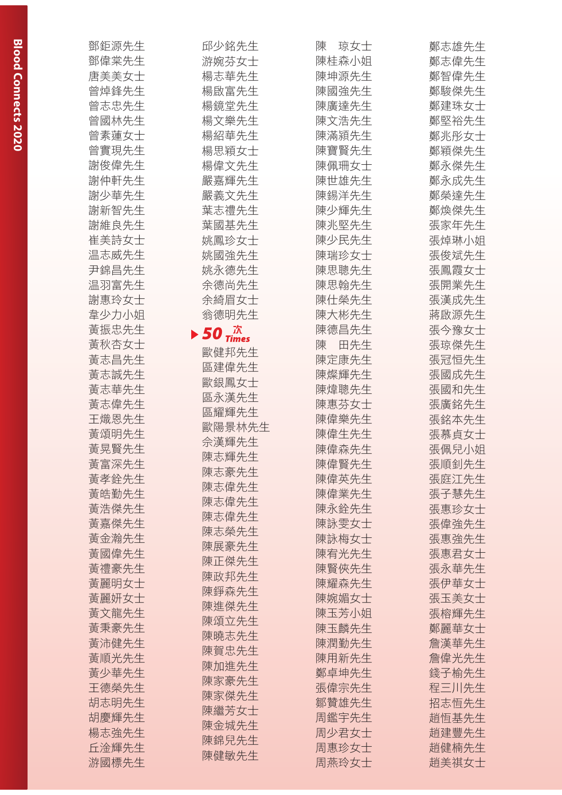| 鄧鈩源先生 | 邱少銘先生                                                  | 陳<br>琼女士       | 鄭志雄先生          |
|-------|--------------------------------------------------------|----------------|----------------|
| 鄧偉棠先生 | 游婉芬女士                                                  | 陳桂森小姐          | 鄭志偉先生          |
| 唐美美女士 | 楊志華先生                                                  | 陳坤源先生          | 鄭智偉先生          |
| 曾焯鋒先生 | 楊啟富先生                                                  | 陳國強先生          | 鄭駿傑先生          |
| 曾志忠先生 | 楊鏡堂先生                                                  | 陳廣達先生          | 鄭建珠女士          |
| 曾國林先生 | 楊文樂先生                                                  | 陳文浩先生          | 鄭堅裕先生          |
| 曾素蓮女士 | 楊紹華先生                                                  | 陳滿潁先生          | 鄭兆彤女士          |
| 曾實現先生 | 楊思穎女士                                                  | 陳寶賢先生          | 鄭穎傑先生          |
| 謝俊偉先生 | 楊偉文先生                                                  | 陳佩珊女士          | 鄭永傑先生          |
| 謝仲軒先生 | 嚴嘉輝先生                                                  | 陳世雄先生          | 鄭永成先生          |
| 謝少華先生 | 嚴義文先生                                                  | 陳錫洋先生          | 鄭榮達先生          |
| 謝新智先生 | 葉志禮先生                                                  | 陳少輝先生          | 鄭煥傑先生          |
| 謝維良先生 | 葉國基先生                                                  | 陳兆堅先生          | 張家年先生          |
| 崔美詩女士 | 姚鳳珍女士                                                  | 陳少民先生          | 張焯琳小姐          |
| 温志威先生 | 姚國強先生                                                  | 陳瑞珍女士          | 張俊斌先生          |
| 尹錦昌先生 | 姚永德先生                                                  | 陳思聰先生          | 張鳳霞女士          |
| 温羽富先生 | 余德尚先生                                                  | 陳思翰先生          | 張開業先生          |
| 謝惠玲女士 | 余綺眉女士                                                  | 陳仕榮先生          | 張漢成先生          |
| 韋少力小姐 | 翁德明先生                                                  | 陳大彬先生          | 蔣啟源先生          |
| 黃振忠先生 |                                                        | 陳德昌先生          | 張今豫女士          |
| 黃秋杏女士 | $\blacktriangleright$ 50 $^{\text{th}}_{\text{Times}}$ | 陳<br>田先生       | 張琼傑先生          |
| 黃志昌先生 | 歐健邦先生                                                  | 陳定康先生          | 張冠恒先生          |
| 黃志誠先生 | 區建偉先生                                                  | 陳燦輝先生          | 張國成先生          |
| 黃志華先生 | 歐銀鳳女士                                                  | 陳煒聰先生          | 張國和先生          |
| 黃志偉先生 | 區永漢先生                                                  | 陳惠芬女士          | 張廣銘先生          |
| 王熾恩先生 | 區耀輝先生                                                  | 陳偉樂先生          | 張銘本先生          |
| 黃頌明先生 | 歐陽景林先生                                                 | 陳偉生先生          | 張慕貞女士          |
| 黃晃賢先生 | 佘漢輝先生                                                  | 陳偉森先生          | 張佩兒小姐          |
| 黃富深先生 | 陳志輝先生                                                  | 陳偉賢先生          | 張順釗先生          |
| 黃孝銓先生 | 陳志豪先生                                                  | 陳偉英先生          | 張庭江先生          |
| 黃皓勤先生 | 陳志偉先生                                                  | 陳偉業先生          | 張子慧先生          |
| 黃浩傑先生 | 陳志偉先生                                                  | 陳永銓先生          | 張惠珍女士          |
| 黃嘉傑先生 | 陳志偉先生                                                  | 陳詠雯女士          |                |
|       | 陳志榮先生                                                  |                | 張偉強先生          |
| 黃金瀚先生 | 陳展豪先生                                                  | 陳詠梅女士          | 張惠強先生<br>張惠君女士 |
| 黃國偉先生 | 陳正傑先生                                                  | 陳宥光先生<br>陳賢俠先生 |                |
| 黃禮豪先生 | 陳政邦先生                                                  |                | 張永華先生          |
| 黃麗明女士 | 陳錚森先生                                                  | 陳耀森先生          | 張伊華女士          |
| 黃麗妍女士 | 陳進傑先生                                                  | 陳婉媚女士          | 張玉美女士          |
| 黃文龍先生 | 陳頌立先生                                                  | 陳玉芳小姐          | 張榕輝先生          |
| 黃秉豪先生 | 陳曉志先生                                                  | 陳玉麟先生          | 鄭麗華女士          |
| 黃沛健先生 | 陳賀忠先生                                                  | 陳潤勤先生          | 詹漢華先生          |
| 黃順光先生 | 陳加進先生                                                  | 陳用新先生          | 詹偉光先生          |
| 黃少華先生 | 陳家豪先生                                                  | 鄭卓坤先生          | 錢子榆先生          |
| 王德榮先生 | 陳家傑先生                                                  | 張偉宗先生          | 程三川先生          |
| 胡志明先生 | 陳繼芳女士                                                  | 鄒贊雄先生          | 招志恒先生          |
| 胡慶輝先生 | 陳金城先生                                                  | 周鑑宇先生          | 趙恒基先生          |
| 楊志強先生 | 陳錦兒先生                                                  | 周少君女士          | 趙建豐先生          |
| 丘淦輝先生 | 陳健敏先生                                                  | 周惠珍女士          | 趙健楠先生          |
| 游國標先生 |                                                        | 周燕玲女士          | 趙美祺女士          |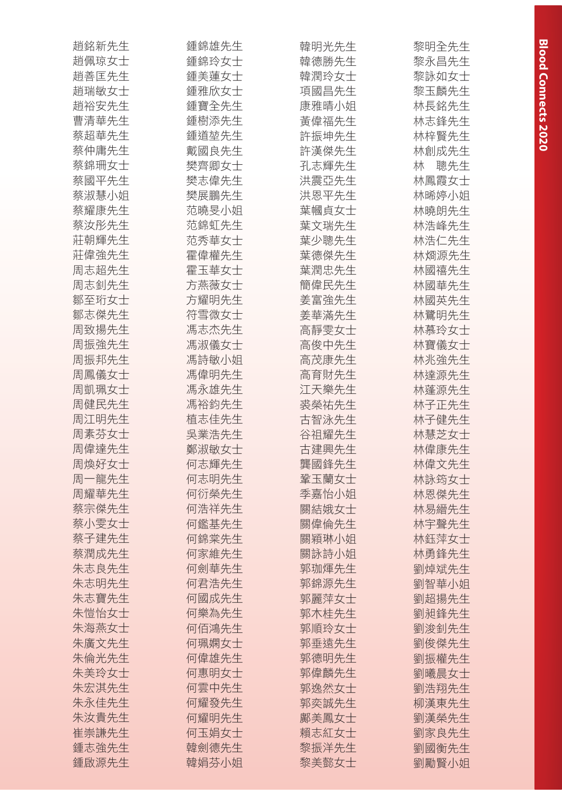| 趙銘新先生          | 鍾錦雄先生          | 韓明光先生 | 黎明全先生    |
|----------------|----------------|-------|----------|
| 趙佩琼女士          | 鍾錦玲女士          | 韓德勝先生 | 黎永昌先生    |
| 趙善匡先生          | 鍾美蓮女士          | 韓潤玲女士 | 黎詠如女士    |
| 趙瑞敏女士          | 鍾雅欣女士          | 項國昌先生 | 黎玉麟先生    |
| 趙裕安先生          | 鍾寶全先生          | 康雅晴小姐 | 林長銘先生    |
| 曹清華先生          | 鍾樹添先生          | 黃偉福先生 | 林志鋒先生    |
| 蔡超華先生          | 鍾道堃先生          | 許振坤先生 | 林梓賢先生    |
| 蔡仲庸先生          | 戴國良先生          | 許漢傑先生 | 林創成先生    |
| 蔡錦珊女士          | 樊齊卿女士          | 孔志輝先生 | 聰先生<br>林 |
| 蔡國平先生          | 樊志偉先生          | 洪震亞先生 | 林鳳霞女士    |
| 蔡淑慧小姐          | 樊展鵬先生          | 洪恩平先生 | 林晞婷小姐    |
| 蔡耀康先生          | 范曉旻小姐          | 葉幗貞女士 | 林曉朗先生    |
| 蔡汝彤先生          | 范錦虹先生          | 葉文瑞先生 | 林浩峰先生    |
| 莊朝輝先生          | 范秀華女士          | 葉少聰先生 | 林浩仁先生    |
| 莊偉強先生          | 霍偉權先生          | 葉德傑先生 | 林烱源先生    |
| 周志超先生          | 霍玉華女士          | 葉潤忠先生 | 林國禧先生    |
| 周志釗先生          | 方燕薇女士          | 簡偉民先生 | 林國華先生    |
| 鄒至珩女士          | 方耀明先生          | 姜富強先生 | 林國英先生    |
| 鄒志傑先生          | 符雪微女士          | 姜華滿先生 | 林鷺明先生    |
| 周致揚先生          | 馮志杰先生          | 高靜雯女士 | 林慕玲女士    |
| 周振強先生          | 馮淑儀女士          | 高俊中先生 | 林寶儀女士    |
| 周振邦先生          | 馮詩敏小姐          | 高茂康先生 | 林兆強先生    |
| 周鳳儀女士          | 馮偉明先生          | 高育財先生 | 林達源先生    |
| 周凱珮女士          | 馮永雄先生          | 江天樂先生 | 林蓬源先生    |
| 周健民先生          | 馮裕鈞先生          |       |          |
|                |                | 裘榮祐先生 | 林子正先生    |
| 周江明先生<br>周素芬女士 | 植志佳先生<br>吳業浩先生 | 古智泳先生 | 林子健先生    |
|                |                | 谷祖耀先生 | 林慧芝女士    |
| 周偉達先生          | 鄭淑敏女士          | 古建興先生 | 林偉康先生    |
| 周煥好女士          | 何志輝先生          | 龔國鋒先生 | 林偉文先生    |
| 周一龍先生          | 何志明先生          | 鞏玉蘭女士 | 林詠筠女士    |
| 周耀華先生          | 何衍榮先生          | 季嘉怡小姐 | 林恩傑先生    |
| 蔡宗傑先生          | 何浩祥先生          | 關結娥女士 | 林易縉先生    |
| 蔡小雯女士          | 何鑑基先生          | 關偉倫先生 | 林宇聲先生    |
| 蔡子建先生          | 何錦棠先生          | 關穎琳小姐 | 林鈺萍女士    |
| 蔡潤成先生          | 何家維先生          | 關詠詩小姐 | 林勇鋒先生    |
| 朱志良先生          | 何劍華先生          | 郭珈煇先生 | 劉焯斌先生    |
| 朱志明先生          | 何君浩先生          | 郭錦源先生 | 劉智華小姐    |
| 朱志寶先生          | 何國成先生          | 郭麗萍女士 | 劉超揚先生    |
| 朱愷怡女士          | 何樂為先生          | 郭木桂先生 | 劉昶鋒先生    |
| 朱海燕女士          | 何佰鴻先生          | 郭順玲女士 | 劉浚釗先生    |
| 朱廣文先生          | 何珮嫻女士          | 郭垂遠先生 | 劉俊傑先生    |
| 朱倫光先生          | 何偉雄先生          | 郭德明先生 | 劉振權先生    |
| 朱美玲女士          | 何惠明女士          | 郭偉麟先生 | 劉曦晨女士    |
| 朱宏淇先生          | 何雲中先生          | 郭逸然女士 | 劉浩翔先生    |
| 朱永佳先生          | 何耀發先生          | 郭奕誠先生 | 柳漢東先生    |
| 朱汝貴先生          | 何耀明先生          | 鄺美鳳女士 | 劉漢榮先生    |
| 崔崇謙先生          | 何玉娟女士          | 賴志紅女士 | 劉家良先生    |
| 鍾志強先生          | 韓劍德先生          | 黎振洋先生 | 劉國衡先生    |
| 鍾啟源先生          | 韓娟芬小姐          | 黎美懿女士 | 劉勵賢小姐    |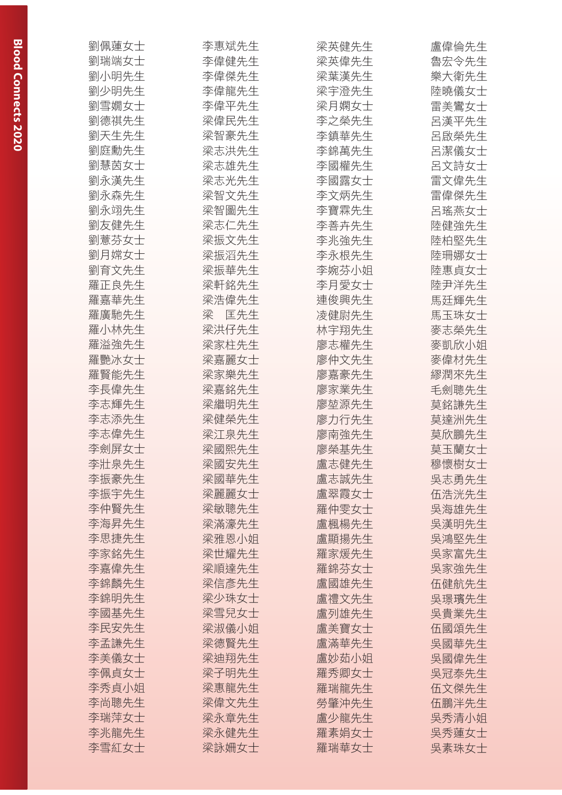| 劉佩蓮女士 | 李惠斌先生 | 梁英健先生 | 盧偉倫先生 |
|-------|-------|-------|-------|
| 劉瑞端女士 | 李偉健先生 | 梁英偉先生 | 魯宏令先生 |
| 劉小明先生 | 李偉傑先生 | 梁葉漢先生 | 樂大衛先生 |
| 劉少明先生 | 李偉龍先生 | 梁宇澄先生 | 陸曉儀女士 |
| 劉雪嫺女士 | 李偉平先生 | 梁月嫻女士 | 雷美鸞女士 |
| 劉德祺先生 | 梁偉民先生 | 李之榮先生 | 呂漢平先生 |
| 劉天生先生 | 梁智豪先生 | 李鎮華先生 | 呂啟榮先生 |
| 劉庭勳先生 | 梁志洪先生 | 李錦萬先生 | 呂潔儀女士 |
| 劉慧茵女士 | 梁志雄先生 | 李國權先生 | 呂文詩女士 |
| 劉永漢先生 | 梁志光先生 | 李國露女士 | 雷文偉先生 |
| 劉永森先生 | 梁智文先生 | 李文炳先生 | 雷偉傑先生 |
| 劉永翊先生 | 梁智圖先生 | 李寶霖先生 | 呂瑤燕女士 |
| 劉友健先生 | 梁志仁先生 | 李善卉先生 | 陸健強先生 |
| 劉薏芬女士 | 梁振文先生 | 李兆強先生 | 陸柏堅先生 |
| 劉月嫦女士 | 梁振滔先生 | 李永根先生 | 陸珊娜女士 |
| 劉育文先生 | 梁振華先生 | 李婉芬小姐 | 陸惠貞女士 |
| 羅正良先生 | 梁軒銘先生 | 李月愛女士 | 陸尹洋先生 |
| 羅嘉華先生 | 梁浩偉先生 | 連俊興先生 | 馬廷輝先生 |
| 羅廣馳先生 | 梁の匡先生 | 凌健尉先生 | 馬玉珠女士 |
| 羅小林先生 | 梁洪仔先生 | 林宇翔先生 | 麥志榮先生 |
| 羅溢強先生 | 梁家柱先生 | 廖志權先生 | 麥凱欣小姐 |
| 羅艷冰女士 | 梁嘉麗女士 | 廖仲文先生 | 麥偉材先生 |
| 羅賢能先生 | 梁家樂先生 | 廖嘉豪先生 | 繆潤來先生 |
| 李長偉先生 | 梁嘉銘先生 | 廖家業先生 | 毛劍聰先生 |
| 李志輝先生 | 梁繼明先生 | 廖堃源先生 | 莫銘謙先生 |
| 李志添先生 | 梁健榮先生 | 廖力行先生 | 莫達洲先生 |
| 李志偉先生 | 梁江泉先生 | 廖南強先生 | 莫欣鵬先生 |
| 李劍屏女士 | 梁國熙先生 | 廖榮基先生 | 莫玉蘭女士 |
| 李壯泉先生 | 梁國安先生 | 盧志健先生 | 穆懷樹女士 |
| 李振豪先生 | 梁國華先生 | 盧志誠先生 | 吳志勇先生 |
| 李振宇先生 | 梁麗麗女士 | 盧翠霞女士 | 伍浩洸先生 |
| 李仲賢先生 | 梁敏聰先生 | 羅仲雯女士 | 吳海雄先生 |
| 李海昇先生 | 梁滿濠先生 | 盧楓楊先生 | 吳漢明先生 |
| 李思捷先生 | 梁雅恩小姐 | 盧顯揚先生 | 吳鴻堅先生 |
| 李家銘先生 | 梁世耀先生 | 羅家煖先生 | 吳家富先生 |
| 李嘉偉先生 | 梁順達先生 | 羅錦芬女士 | 吳家強先生 |
| 李錦麟先生 | 梁信彥先生 | 盧國雄先生 | 伍健航先生 |
| 李錦明先生 | 梁少珠女士 | 盧禮文先生 | 吳璟璸先生 |
| 李國基先生 | 梁雪兒女士 | 盧列雄先生 | 吳貴業先生 |
| 李民安先生 | 梁淑儀小姐 | 盧美寶女士 | 伍國頌先生 |
| 李孟謙先生 | 梁德賢先生 | 盧滿華先生 | 吳國華先生 |
| 李美儀女士 | 梁迪翔先生 | 盧妙茹小姐 | 吳國偉先生 |
| 李佩貞女士 | 梁子明先生 | 羅秀卿女士 | 吳冠泰先生 |
| 李秀貞小姐 | 梁惠龍先生 | 羅瑞龍先生 | 伍文傑先生 |
| 李尚聰先生 | 梁偉文先生 | 勞肇沖先生 | 伍鵬泮先生 |
| 李瑞萍女士 | 梁永章先生 | 盧少龍先生 | 吳秀清小姐 |
| 李兆龍先生 | 梁永健先生 | 羅素娟女士 | 吳秀蓮女士 |
| 李雪紅女士 | 梁詠姍女士 | 羅瑞華女士 | 吳素珠女士 |
|       |       |       |       |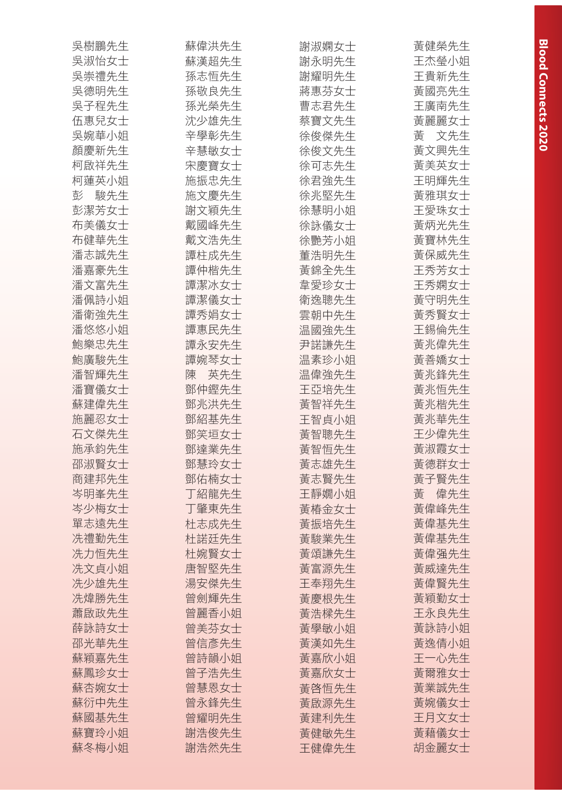| 吳樹鵬先生    | 蘇偉洪先生    | 謝淑嫻女士 | 黃健榮先生    |
|----------|----------|-------|----------|
| 吳淑怡女士    | 蘇漢超先生    | 謝永明先生 | 王杰瑩小姐    |
| 吳崇禮先生    | 孫志恒先生    | 謝耀明先生 | 王貴新先生    |
| 吳德明先生    | 孫敬良先生    | 蔣惠芬女士 | 黃國亮先生    |
| 吳子程先生    | 孫光榮先生    | 曹志君先生 | 王廣南先生    |
| 伍惠兒女士    | 沈少雄先生    | 蔡寶文先生 | 黃麗麗女士    |
| 吳婉華小姐    | 辛學彰先生    | 徐俊傑先生 | 黃 文先生    |
| 顏慶新先生    | 辛慧敏女士    | 徐俊文先生 | 黃文興先生    |
| 柯啟祥先生    | 宋慶寶女士    | 徐可志先生 | 黃美英女士    |
| 柯蓮英小姐    | 施振忠先生    | 徐君強先生 | 王明輝先生    |
| 駿先生<br>彭 | 施文慶先生    | 徐兆堅先生 | 黃雅琪女士    |
| 彭潔芳女士    | 謝文穎先生    | 徐慧明小姐 | 王愛珠女士    |
| 布美儀女士    | 戴國峰先生    | 徐詠儀女士 | 黃炳光先生    |
| 布健華先生    | 戴文浩先生    | 徐艷芳小姐 | 黃寶林先生    |
| 潘志誠先生    | 譚柱成先生    | 董浩明先生 | 黃保威先生    |
| 潘嘉豪先生    | 譚仲楷先生    | 黃錦全先生 | 王秀芳女士    |
| 潘文富先生    | 譚潔冰女士    | 韋愛珍女士 | 王秀嫻女士    |
| 潘佩詩小姐    | 譚潔儀女士    | 衛逸聰先生 | 黃守明先生    |
| 潘衛強先生    | 譚秀娟女士    | 雲朝中先生 | 黃秀賢女士    |
| 潘悠悠小姐    | 譚惠民先生    | 温國強先生 | 王錫倫先生    |
| 鮑樂忠先生    | 譚永安先生    | 尹諾謙先生 | 黃兆偉先生    |
| 鮑廣駿先生    | 譚婉琴女士    | 温素珍小姐 | 黃善嬌女士    |
| 潘智輝先生    | 英先生<br>陳 | 温偉強先生 | 黃兆鋒先生    |
| 潘寶儀女士    | 鄧仲鏗先生    | 王亞培先生 | 黃兆恆先生    |
| 蘇建偉先生    | 鄧兆洪先生    | 黃智祥先生 | 黃兆楷先生    |
| 施麗忍女士    | 鄧紹基先生    | 王智貞小姐 | 黃兆華先生    |
| 石文傑先生    | 鄧笑垣女士    | 黃智聰先生 | 王少偉先生    |
| 施承鈞先生    | 鄧達業先生    | 黃智恒先生 | 黃淑霞女士    |
| 邵淑賢女士    | 鄧慧玲女士    | 黃志雄先生 | 黃德群女士    |
| 商建邦先生    | 鄧佑楠女士    | 黃志賢先生 | 黃子賢先生    |
| 岑明峯先生    | 丁紹龍先生    | 王靜嫺小姐 | 偉先生<br>黃 |
| 岑少梅女士    | 丁肇東先生    | 黃椿金女士 | 黃偉峰先生    |
| 單志遠先生    | 杜志成先生    | 黃振培先生 | 黃偉基先生    |
| 冼禮勤先生    | 杜諾廷先生    | 黃駿業先生 | 黃偉基先生    |
| 冼力恒先生    | 杜婉賢女士    | 黃頌謙先生 | 黃偉强先生    |
| 冼文貞小姐    | 唐智堅先生    | 黃富源先生 | 黃威達先生    |
| 冼少雄先生    | 湯安傑先生    | 王奉翔先生 | 黃偉賢先生    |
| 冼煒勝先生    | 曾劍輝先生    | 黃慶根先生 | 黃穎勤女士    |
| 蕭啟政先生    | 曾麗香小姐    | 黃浩樑先生 | 王永良先生    |
| 薛詠詩女士    | 曾美芬女士    | 黃學敏小姐 | 黃詠詩小姐    |
| 邵光華先生    | 曾信彥先生    | 黃漢如先生 | 黃逸倩小姐    |
| 蘇穎嘉先生    | 曾詩韻小姐    | 黃嘉欣小姐 | 王一心先生    |
| 蘇鳳珍女士    | 曾子浩先生    | 黃嘉欣女士 | 黃爾雅女士    |
| 蘇杏婉女士    | 曾慧恩女士    | 黃啓恒先生 | 黃業誠先生    |
| 蘇衍中先生    | 曾永鋒先生    | 黃啟源先生 | 黃婉儀女士    |
| 蘇國基先生    | 曾耀明先生    | 黃建利先生 | 王月文女士    |
| 蘇寶玲小姐    | 謝浩俊先生    | 黃健敏先生 | 黃藉儀女士    |
| 蘇冬梅小姐    | 謝浩然先生    | 王健偉先生 | 胡金麗女士    |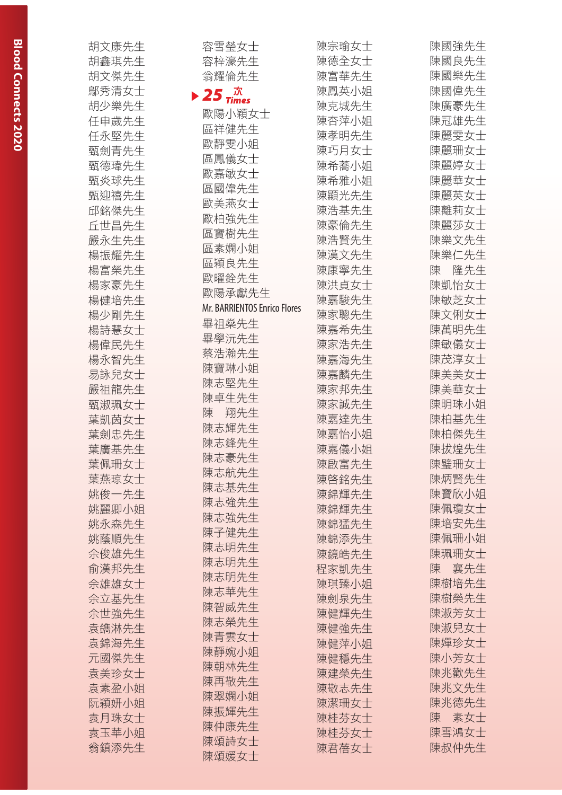|                |                                    | 陳宗瑜女士 | 陳國強先生    |
|----------------|------------------------------------|-------|----------|
| 胡文康先生<br>胡鑫琪先生 | 容雪瑩女士                              | 陳德全女士 | 陳國良先生    |
| 胡文傑先生          | 容梓濠先生                              | 陳富華先生 | 陳國樂先生    |
| 鄔秀清女士          | 翁耀倫先生                              | 陳鳳英小姐 | 陳國偉先生    |
|                | $\blacktriangleright$ 25 $\vec{x}$ | 陳克城先生 |          |
| 胡少樂先生          | 歐陽小穎女士                             |       | 陳廣豪先生    |
| 任申歲先生          | 區祥健先生                              | 陳杏萍小姐 | 陳冠雄先生    |
| 任永堅先生          | 歐靜雯小姐                              | 陳孝明先生 | 陳麗雯女士    |
| 甄劍青先生          | 區鳳儀女士                              | 陳巧月女士 | 陳麗珊女士    |
| 甄德瑋先生          | 歐嘉敏女士                              | 陳希蕎小姐 | 陳麗婷女士    |
| 甄炎球先生          | 區國偉先生                              | 陳希雅小姐 | 陳麗華女士    |
| 甄抑禧先生          | 歐美燕女士                              | 陳顯光先生 | 陳麗英女士    |
| 邱銘傑先生          | 歐柏強先生                              | 陳浩基先生 | 陳離莉女士    |
| 丘世昌先生          | 區寶樹先生                              | 陳豪倫先生 | 陳麗莎女士    |
| 嚴永生先生          | 區素嫻小姐                              | 陳浩賢先生 | 陳樂文先生    |
| 楊振耀先生          | 區穎良先生                              | 陳漢文先生 | 陳樂仁先生    |
| 楊富榮先生          | 歐曜銓先生                              | 陳康寧先生 | 隆先生<br>陳 |
| 楊家豪先生          | 歐陽承獻先生                             | 陳洪貞女士 | 陳凱怡女士    |
| 楊健培先生          | Mr. BARRIENTOS Enrico Flores       | 陳嘉駿先生 | 陳敏芝女士    |
| 楊少剛先生          |                                    | 陳家聰先生 | 陳文俐女士    |
| 楊詩慧女士          | 畢祖燊先生                              | 陳嘉希先生 | 陳萬明先生    |
| 楊偉民先生          | 畢學沅先生                              | 陳家浩先生 | 陳敏儀女士    |
| 楊永智先生          | 蔡浩瀚先生                              | 陳嘉海先生 | 陳茂淳女士    |
| 易詠兒女士          | 陳寶琳小姐                              | 陳嘉麟先生 | 陳美美女士    |
| 嚴祖龍先生          | 陳志堅先生                              | 陳家邦先生 | 陳美華女士    |
| 甄淑珮女士          | 陳卓生先生                              | 陳家誠先生 | 陳明珠小姐    |
| 葉凱茵女士          | 翔先生<br>陳                           | 陳嘉達先生 | 陳柏基先生    |
| 葉劍忠先生          | 陳志輝先生                              | 陳嘉怡小姐 | 陳柏傑先生    |
| 葉廣基先生          | 陳志鋒先生                              | 陳嘉儀小姐 | 陳拔煌先生    |
| 葉佩珊女士          | 陳志豪先生                              | 陳啟富先生 | 陳璧珊女士    |
| 葉燕琼女士          | 陳志航先生                              | 陳啓銘先生 | 陳炳賢先生    |
| 姚俊一先生          | 陳志基先生                              | 陳錦輝先生 | 陳寶欣小姐    |
| 姚麗卿小姐          | 陳志強先生                              | 陳錦輝先生 | 陳佩瓊女士    |
| 姚永森先生          | 陳志強先生                              | 陳錦猛先生 | 陳培安先生    |
| 姚蔭順先生          | 陳子健先生                              | 陳錦添先生 | 陳佩珊小姐    |
| 余俊雄先生          | 陳志明先生                              | 陳鏡皓先生 | 陳珮珊女士    |
| 俞漢邦先生          | 陳志明先生                              | 程家凱先生 | 襄先生<br>陳 |
| 余雄雄女士          | 陳志明先生                              | 陳琪臻小姐 | 陳樹培先生    |
| 余立基先生          | 陳志華先生                              | 陳劍泉先生 | 陳樹榮先生    |
| 余世強先生          | 陳智威先生                              | 陳健輝先生 | 陳淑芳女士    |
| 袁鐫淋先生          | 陳志榮先生                              | 陳健強先生 | 陳淑兒女士    |
| 袁錦海先生          | 陳青雲女士                              | 陳健萍小姐 | 陳嬋珍女士    |
| 元國傑先生          | 陳靜婉小姐                              |       | 陳小芳女士    |
| 袁美珍女士          | 陳朝林先生                              | 陳健穩先生 | 陳兆歡先生    |
|                | 陳再敬先生                              | 陳建榮先生 |          |
| 袁素盈小姐          | 陳翠嫻小姐                              | 陳敬志先生 | 陳兆文先生    |
| 阮穎妍小姐          | 陳振輝先生                              | 陳潔珊女士 | 陳兆德先生    |
| 袁月珠女士          | 陳仲康先生                              | 陳桂芬女士 | 陳<br>素女士 |
| 袁玉華小姐          | 陳頌詩女士                              | 陳桂芬女士 | 陳雪鴻女士    |
| 翁鎮添先生          | 陳頌媛女士                              | 陳君蓓女士 | 陳叔仲先生    |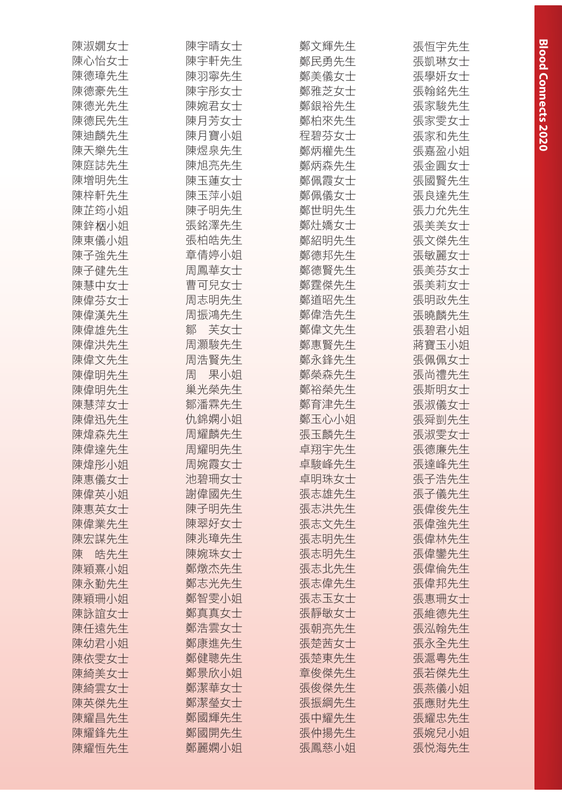| 陳淑嫺女士    | 陳宇晴女士    | 鄭文輝先生 | 張恒宇先生 |
|----------|----------|-------|-------|
| 陳心怡女士    | 陳宇軒先生    | 鄭民勇先生 | 張凱琳女士 |
| 陳德璋先生    | 陳羽寧先生    | 鄭美儀女士 | 張學妍女士 |
| 陳德豪先生    | 陳宇彤女士    | 鄭雅芝女士 | 張翰銘先生 |
| 陳德光先生    | 陳婉君女士    | 鄭銀裕先生 | 張家駿先生 |
| 陳德民先生    | 陳月芳女士    | 鄭柏來先生 | 張家雯女士 |
| 陳迪麟先生    | 陳月寶小姐    | 程碧芬女士 | 張家和先生 |
| 陳天樂先生    | 陳煜泉先生    | 鄭炳權先生 | 張嘉盈小姐 |
| 陳庭誌先生    | 陳旭亮先生    | 鄭炳森先生 | 張金圓女士 |
| 陳增明先生    | 陳玉蓮女士    | 鄭佩霞女士 | 張國賢先生 |
| 陳梓軒先生    | 陳玉萍小姐    | 鄭佩儀女士 | 張良達先生 |
| 陳芷筠小姐    | 陳子明先生    | 鄭世明先生 | 張力允先生 |
| 陳鋅栶小姐    | 張銘澤先生    | 鄭灶嬌女士 | 張美美女士 |
| 陳東儀小姐    | 張柏皓先生    | 鄭紹明先生 | 張文傑先生 |
| 陳子強先生    | 章倩婷小姐    | 鄭德邦先生 | 張敏麗女士 |
| 陳子健先生    | 周鳳華女士    | 鄭德賢先生 | 張美芬女士 |
| 陳慧中女士    | 曹可兒女士    | 鄭霆傑先生 | 張美莉女士 |
| 陳偉芬女士    | 周志明先生    | 鄭道昭先生 | 張明政先生 |
| 陳偉漢先生    | 周振鴻先生    | 鄭偉浩先生 | 張曉麟先生 |
| 陳偉雄先生    | 芙女士<br>鄒 | 鄭偉文先生 | 張碧君小姐 |
| 陳偉洪先生    | 周灝駿先生    | 鄭惠賢先生 | 蔣寶玉小姐 |
| 陳偉文先生    | 周浩賢先生    | 鄭永鋒先生 | 張佩佩女士 |
| 陳偉明先生    | 果小姐<br>周 | 鄭榮森先生 | 張尚禮先生 |
| 陳偉明先生    | 巢光榮先生    | 鄭裕榮先生 | 張斯明女士 |
| 陳慧萍女士    | 鄒潘霖先生    | 鄭育津先生 | 張淑儀女士 |
| 陳偉迅先生    | 仇錦嫻小姐    | 鄭玉心小姐 | 張舜剴先生 |
| 陳煒森先生    | 周耀麟先生    | 張玉麟先生 | 張淑雯女士 |
| 陳偉達先生    | 周耀明先生    | 卓翔宇先生 | 張德廉先生 |
| 陳煒彤小姐    | 周婉霞女士    | 卓駿峰先生 | 張達峰先生 |
| 陳惠儀女士    | 池碧珊女士    | 卓明珠女士 | 張子浩先生 |
| 陳偉英小姐    | 謝偉國先生    | 張志雄先生 | 張子儀先生 |
| 陳惠英女士    | 陳子明先生    | 張志洪先生 | 張偉俊先生 |
| 陳偉業先生    | 陳翠好女士    | 張志文先生 | 張偉強先生 |
| 陳宏謀先生    | 陳兆璋先生    | 張志明先生 | 張偉林先生 |
| 皓先生<br>陳 | 陳婉珠女士    | 張志明先生 | 張偉鑾先生 |
| 陳穎熹小姐    | 鄭燉杰先生    | 張志北先生 | 張偉倫先生 |
| 陳永勤先生    | 鄭志光先生    | 張志偉先生 | 張偉邦先生 |
| 陳穎珊小姐    | 鄭智雯小姐    | 張志玉女士 | 張惠珊女士 |
| 陳詠誼女士    | 鄭真真女士    | 張靜敏女士 | 張維德先生 |
| 陳任遠先生    | 鄭浩雲女士    | 張朝亮先生 | 張泓翰先生 |
| 陳幼君小姐    | 鄭康進先生    | 張楚茜女士 | 張永全先生 |
| 陳依雯女士    | 鄭健聰先生    | 張楚東先生 | 張滬粵先生 |
| 陳綺美女士    | 鄭景欣小姐    | 章俊傑先生 | 張若傑先生 |
| 陳綺雲女士    | 鄭潔華女士    | 張俊傑先生 | 張燕儀小姐 |
| 陳英傑先生    | 鄭潔瑩女士    | 張振綱先生 | 張應財先生 |
| 陳耀昌先生    | 鄭國輝先生    | 張中耀先生 | 張耀忠先生 |
| 陳耀鋒先生    | 鄭國開先生    | 張仲揚先生 | 張婉兒小姐 |
| 陳耀恆先生    | 鄭麗嫻小姐    | 張鳳慈小姐 | 張悦海先生 |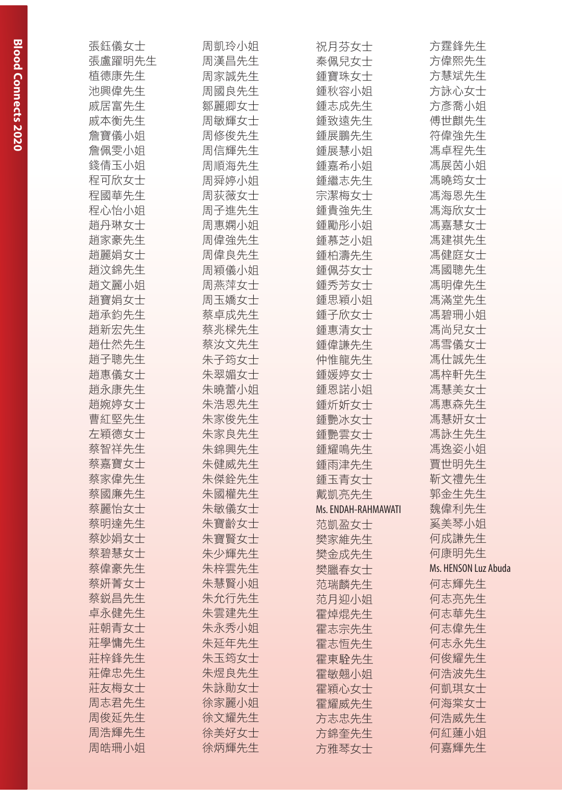| 張鈺儀女士  | 周凱玲小姐 | 祝月芬女士               | 方霆鋒先生                |
|--------|-------|---------------------|----------------------|
| 張盧躍明先生 | 周漢昌先生 | 秦佩兒女士               | 方偉熙先生                |
| 植德康先生  | 周家誠先生 | 鍾寶珠女士               | 方慧斌先生                |
| 池興偉先生  | 周國良先生 | 鍾秋容小姐               | 方詠心女士                |
| 戚居富先生  | 鄒麗卿女士 | 鍾志成先生               | 方彥喬小姐                |
| 戚本衡先生  | 周敏輝女士 | 鍾致遠先生               | 傅世麒先生                |
| 詹寶儀小姐  | 周修俊先生 | 鍾展鵬先生               | 符偉強先生                |
| 詹佩雯小姐  | 周信輝先生 | 鍾展慧小姐               | 馮卓程先生                |
| 錢倩玉小姐  | 周順海先生 | 鍾嘉希小姐               | 馮展茵小姐                |
| 程可欣女士  | 周舜婷小姐 | 鍾繼志先生               | 馮曉筠女士                |
| 程國華先生  | 周荻薇女士 | 宗潔梅女士               | 馮海恩先生                |
| 程心怡小姐  | 周子進先生 | 鍾貴強先生               | 馮海欣女士                |
| 趙丹琳女士  | 周惠嫻小姐 | 鍾勵彤小姐               | 馮嘉慧女士                |
| 趙家豪先生  | 周偉強先生 | 鍾慕芝小姐               | 馮建祺先生                |
| 趙麗娟女士  | 周偉良先生 | 鍾柏濤先生               | 馮健庭女士                |
| 趙汶錦先生  | 周穎儀小姐 | 鍾佩芬女士               | 馮國聰先生                |
| 趙文麗小姐  | 周燕萍女士 | 鍾秀芳女士               | 馮明偉先生                |
| 趙寶娟女士  | 周玉嬌女士 | 鍾思穎小姐               | 馮滿堂先生                |
| 趙承鈞先生  | 蔡卓成先生 | 鍾子欣女士               | 馮碧珊小姐                |
| 趙新宏先生  | 蔡兆樑先生 | 鍾惠清女士               | 馮尚兒女士                |
| 趙仕然先生  | 蔡汝文先生 | 鍾偉謙先生               | 馮雪儀女士                |
| 趙子聰先生  | 朱子筠女士 | 仲惟龍先生               | 馮仕誠先生                |
| 趙惠儀女士  | 朱翠媚女士 | 鍾媛婷女士               | 馮梓軒先生                |
| 趙永康先生  | 朱曉蕾小姐 | 鍾恩諾小姐               | 馮慧美女士                |
| 趙婉婷女士  | 朱浩恩先生 | 鍾炘妡女士               | 馮惠森先生                |
| 曹紅堅先生  | 朱家俊先生 | 鍾艷冰女士               | 馮慧妍女士                |
| 左穎德女士  | 朱家良先生 | 鍾艷雲女士               | 馮詠生先生                |
| 蔡智祥先生  | 朱錦興先生 | 鍾耀鳴先生               | 馮逸姿小姐                |
| 蔡嘉寶女士  | 朱健威先生 | 鍾雨津先生               | 賈世明先生                |
| 蔡家偉先生  | 朱傑銓先生 | 鍾玉青女士               | 靳文禮先生                |
| 蔡國廉先生  | 朱國權先生 | 戴凱亮先生               | 郭金生先生                |
| 蔡麗怡女士  | 朱敏儀女士 | Ms. ENDAH-RAHMAWATI | 魏偉利先生                |
| 蔡明達先生  | 朱寶齡女士 | 范凱盈女士               | 奚美琴小姐                |
| 蔡妙娟女士  | 朱寶賢女士 | 樊家維先生               | 何成謙先生                |
| 蔡碧慧女士  | 朱少輝先生 | 樊金成先生               | 何康明先生                |
| 蔡偉豪先生  | 朱梓雲先生 | 樊臘春女士               | Ms. HENSON Luz Abuda |
| 蔡妍菁女士  | 朱慧賢小姐 | 范瑞麟先生               | 何志輝先生                |
| 蔡鋭昌先生  | 朱允行先生 | 范月迎小姐               | 何志亮先生                |
| 卓永健先生  | 朱雲建先生 | 霍焯焜先生               | 何志華先生                |
| 莊朝青女士  | 朱永秀小姐 | 霍志宗先生               | 何志偉先生                |
| 莊學慵先生  | 朱延年先生 | 霍志恒先生               | 何志永先生                |
| 莊梓鋒先生  | 朱玉筠女士 | 霍東駩先生               | 何俊耀先生                |
| 莊偉忠先生  | 朱煜良先生 | 霍敏翹小姐               | 何浩波先生                |
| 莊友梅女士  | 朱詠勛女士 | 霍穎心女士               | 何凱琪女士                |
| 周志君先生  | 徐家麗小姐 | 霍耀威先生               | 何海棠女士                |
| 周俊延先生  | 徐文耀先生 | 方志忠先生               | 何浩威先生                |
| 周浩輝先生  | 徐美好女士 | 方錦奎先生               | 何紅蓮小姐                |
| 周皓珊小姐  | 徐炳輝先生 | 方雅琴女士               | 何嘉輝先生                |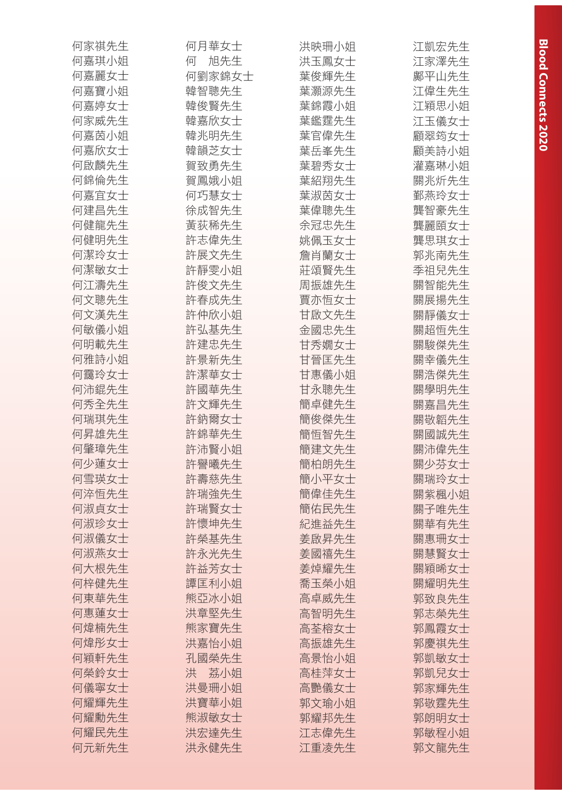| 何家祺先生 | 何月華女士    | 洪映珊小姐 | 江凱宏先生 |
|-------|----------|-------|-------|
| 何嘉琪小姐 | 旭先生<br>何 | 洪玉鳳女士 | 江家澤先生 |
| 何嘉麗女士 | 何劉家錦女士   | 葉俊輝先生 | 鄺平山先生 |
| 何嘉寶小姐 | 韓智聰先生    | 葉灝源先生 | 江偉生先生 |
| 何嘉婷女士 | 韓俊賢先生    | 葉錦霞小姐 | 江穎思小姐 |
| 何家威先生 | 韓嘉欣女士    | 葉鑑霆先生 | 江玉儀女士 |
| 何嘉茵小姐 | 韓兆明先生    | 葉官偉先生 | 顧翠筠女士 |
| 何嘉欣女士 | 韓韻芝女士    | 葉岳峯先生 | 顧美詩小姐 |
| 何啟麟先生 | 賀致勇先生    | 葉碧秀女士 | 灌嘉琳小姐 |
| 何錦倫先生 | 賀鳳娥小姐    | 葉紹翔先生 | 關兆炘先生 |
| 何嘉宜女士 | 何巧慧女士    | 葉淑茵女士 | 鄞燕玲女士 |
| 何建昌先生 | 徐成智先生    | 葉偉聰先生 | 龔智豪先生 |
| 何健龍先生 | 黃荻稀先生    | 余冠忠先生 | 龔麗頤女士 |
| 何健明先生 | 許志偉先生    | 姚佩玉女士 | 龔思琪女士 |
| 何潔玲女士 | 許展文先生    | 詹肖蘭女士 | 郭兆南先生 |
| 何潔敏女士 | 許靜雯小姐    | 莊頌賢先生 | 季祖兒先生 |
| 何江濤先生 | 許俊文先生    | 周振雄先生 | 關智能先生 |
| 何文聰先生 | 許春成先生    | 賈亦恒女士 | 關展揚先生 |
| 何文漢先生 | 許仲欣小姐    | 甘啟文先生 | 關靜儀女士 |
| 何敏儀小姐 | 許弘基先生    | 金國忠先生 | 關超恒先生 |
| 何明載先生 | 許建忠先生    | 甘秀嫺女士 | 關駿傑先生 |
| 何雅詩小姐 | 許景新先生    | 甘晉匡先生 | 關幸儀先生 |
| 何靄玲女士 | 許潔華女士    | 甘惠儀小姐 | 關浩傑先生 |
| 何沛錕先生 | 許國華先生    | 甘永聰先生 | 關學明先生 |
| 何秀全先生 | 許文輝先生    | 簡卓健先生 | 關嘉昌先生 |
| 何瑞琪先生 | 許鈉爾女士    | 簡俊傑先生 | 關敬韜先生 |
| 何昇雄先生 | 許錦華先生    | 簡恆智先生 | 關國誠先生 |
| 何肇璋先生 | 許沛賢小姐    | 簡建文先生 | 關沛偉先生 |
| 何少蓮女士 | 許譽曦先生    | 簡柏朗先生 | 關少芬女士 |
| 何雪瑛女士 | 許壽慈先生    | 簡小平女士 | 關瑞玲女士 |
| 何淬恒先生 | 許瑞強先生    | 簡偉佳先生 | 關紫楓小姐 |
| 何淑貞女士 | 許瑞賢女士    | 簡佑民先生 | 關子唯先生 |
| 何淑珍女士 | 許懷坤先生    | 紀進益先生 | 關華有先生 |
| 何淑儀女十 | 許榮基先生    | 姜啟昇先生 | 關惠珊女士 |
| 何淑燕女士 | 許永光先生    | 姜國禧先生 | 關慧賢女士 |
| 何大根先生 | 許益芳女士    | 姜焯耀先生 | 關穎晞女士 |
| 何梓健先生 | 譚匡利小姐    | 喬玉榮小姐 | 關耀明先生 |
| 何東華先生 | 熊亞冰小姐    | 高卓威先生 | 郭致良先生 |
| 何惠蓮女士 | 洪章堅先生    | 高智明先生 | 郭志榮先生 |
| 何煒楠先生 | 熊家寶先生    | 高荃榕女士 | 郭鳳霞女士 |
| 何煒彤女士 | 洪嘉怡小姐    | 高振雄先生 | 郭慶祺先生 |
| 何穎軒先生 | 孔國榮先生    | 高景怡小姐 | 郭凱敏女士 |
| 何榮鈴女士 | 洪<br>荔小姐 | 高桂萍女士 | 郭凱兒女士 |
| 何儀寧女士 | 洪曼珊小姐    | 高艷儀女士 | 郭家輝先生 |
| 何耀輝先生 | 洪寶華小姐    | 郭文瑜小姐 | 郭敬霆先生 |
| 何耀勳先生 | 熊淑敏女士    | 郭耀邦先生 | 郭朗明女士 |
| 何耀民先生 | 洪宏達先生    | 江志偉先生 | 郭敏程小姐 |
| 何元新先生 | 洪永健先生    | 江重凌先生 | 郭文龍先生 |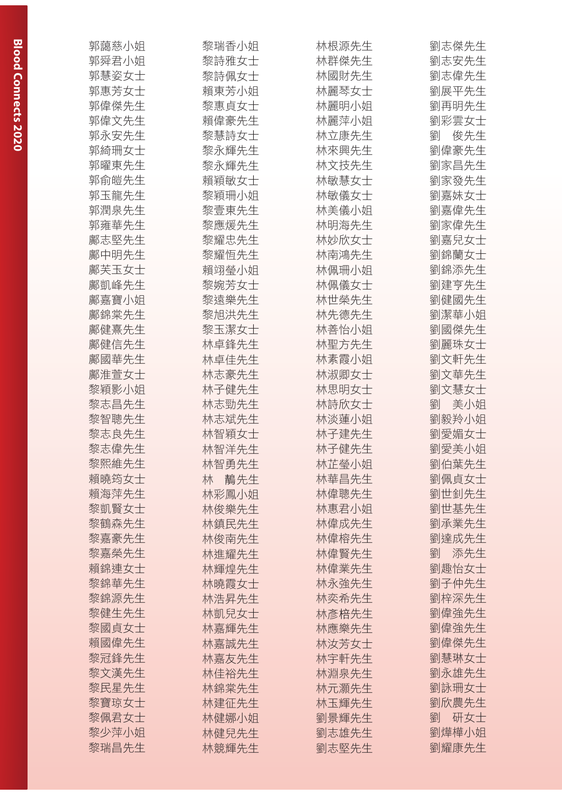| 郭藹慈小姐 | 黎瑞香小姐 | 林根源先生 | 劉志傑先生     |
|-------|-------|-------|-----------|
| 郭舜君小姐 | 黎詩雅女士 | 林群傑先生 | 劉志安先生     |
| 郭慧姿女士 | 黎詩佩女士 | 林國財先生 | 劉志偉先生     |
| 郭惠芳女士 | 賴東芳小姐 | 林麗琴女士 | 劉展平先生     |
| 郭偉傑先生 | 黎惠貞女士 | 林麗明小姐 | 劉再明先生     |
| 郭偉文先生 | 賴偉豪先生 | 林麗萍小姐 | 劉彩雲女士     |
| 郭永安先生 | 黎慧詩女士 | 林立康先生 | 俊先生<br>劉  |
| 郭綺珊女士 | 黎永輝先生 | 林來興先生 | 劉偉豪先生     |
| 郭曜東先生 | 黎永輝先生 | 林文技先生 | 劉家昌先生     |
| 郭俞皚先生 | 賴穎敏女士 | 林敏慧女士 | 劉家發先生     |
| 郭玉龍先生 | 黎穎珊小姐 | 林敏儀女士 | 劉嘉妹女士     |
| 郭潤泉先生 | 黎壹東先生 | 林美儀小姐 | 劉嘉偉先生     |
| 郭雍華先生 | 黎應煖先生 | 林明海先生 | 劉家偉先生     |
| 鄺志堅先生 | 黎耀忠先生 | 林妙欣女士 | 劉嘉兒女士     |
| 鄺中明先生 | 黎耀恒先生 | 林南鴻先生 | 劉錦蘭女士     |
| 鄺芙玉女士 | 賴翊瑩小姐 | 林佩珊小姐 | 劉錦添先生     |
| 鄺凱峰先生 | 黎婉芳女士 | 林佩儀女士 | 劉建亨先生     |
| 鄺嘉寶小姐 | 黎遠樂先生 | 林世榮先生 | 劉健國先生     |
| 鄺錦棠先生 | 黎旭洪先生 | 林先德先生 | 劉潔華小姐     |
| 鄺健熹先生 | 黎玉潔女士 | 林善怡小姐 | 劉國傑先生     |
| 鄺健信先生 | 林卓鋒先生 | 林聖方先生 | 劉麗珠女士     |
| 鄺國華先生 | 林卓佳先生 | 林素霞小姐 | 劉文軒先生     |
| 鄺淮萱女士 | 林志豪先生 | 林淑卿女士 | 劉文華先生     |
| 黎穎影小姐 | 林子健先生 | 林思明女士 | 劉文慧女士     |
| 黎志昌先生 | 林志勁先生 | 林詩欣女士 | 美小姐<br>楽川 |
| 黎智聰先生 | 林志斌先生 | 林淡蓮小姐 | 劉毅羚小姐     |
| 黎志良先生 | 林智穎女士 | 林子建先生 | 劉愛媚女士     |
| 黎志偉先生 | 林智洋先生 | 林子健先生 | 劉愛美小姐     |
| 黎熙維先生 | 林智勇先生 | 林芷瑩小姐 | 劉伯葉先生     |
| 賴曉筠女士 | 林 鶄先生 | 林華昌先生 | 劉佩貞女士     |
| 賴海萍先生 | 林彩鳳小姐 | 林偉聰先生 | 劉世釗先生     |
| 黎凱賢女士 | 林俊樂先生 | 林惠君小姐 | 劉世基先生     |
| 黎鶴森先生 | 林鎮民先生 | 林偉成先生 | 劉承業先生     |
| 黎嘉豪先生 | 林俊南先生 | 林偉榕先生 | 劉達成先生     |
| 黎嘉榮先生 | 林進耀先生 | 林偉賢先生 | 劉<br>添先生  |
| 賴錦連女士 | 林輝煌先生 | 林偉業先生 | 劉趣怡女士     |
| 黎錦華先生 | 林曉霞女士 | 林永強先生 | 劉子仲先生     |
| 黎錦源先生 | 林浩昇先生 | 林奕希先生 | 劉梓深先生     |
| 黎健生先生 | 林凱兒女士 | 林彥棓先生 | 劉偉強先生     |
| 黎國貞女士 | 林嘉輝先生 | 林應樂先生 | 劉偉強先生     |
| 賴國偉先生 | 林嘉誠先生 | 林汝芳女士 | 劉偉傑先生     |
| 黎冠鋒先生 | 林嘉友先生 | 林宇軒先生 | 劉慧琳女士     |
| 黎文漢先生 | 林佳裕先生 | 林淵泉先生 | 劉永雄先生     |
| 黎民星先生 | 林錦棠先生 | 林元灝先生 | 劉詠珊女士     |
| 黎寶琼女士 | 林建征先生 | 林玉輝先生 | 劉欣農先生     |
| 黎佩君女士 | 林健娜小姐 | 劉景輝先生 | 研女士<br>劉  |
| 黎少萍小姐 | 林健兒先生 | 劉志雄先生 | 劉燁樺小姐     |
| 黎瑞昌先生 | 林競輝先生 | 劉志堅先生 | 劉耀康先生     |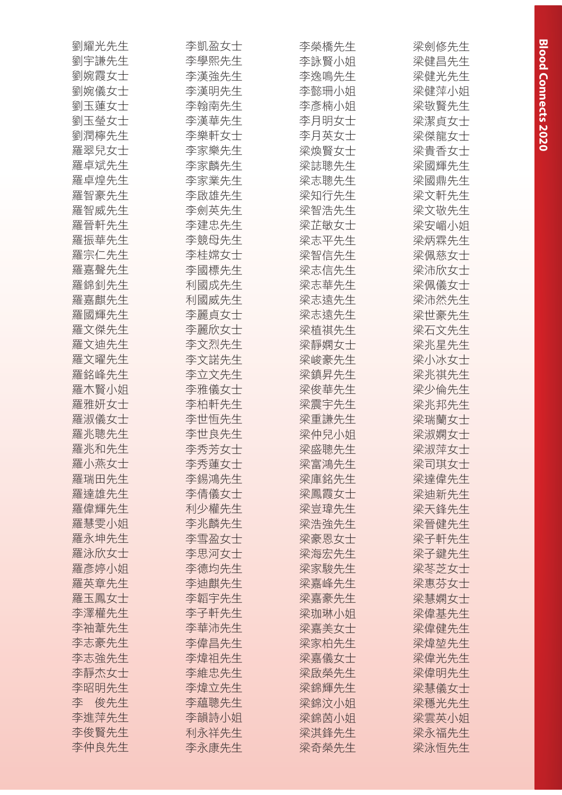| 劉宇謙先生<br>李學熙先生<br>李詠賢小姐<br>梁健昌先生<br>劉婉霞女士<br>李漢強先生<br>李逸鳴先生<br>梁健光先生<br>劉婉儀女士<br>李漢明先生<br>李懿珊小姐<br>梁健萍小姐<br>劉玉蓮女士<br>李翰南先生<br>李彥楠小姐<br>梁敬賢先生<br>劉玉瑩女士<br>李漢華先生<br>李月明女士<br>梁潔貞女士<br>劉潤檸先生<br>李樂軒女士<br>李月英女士<br>梁傑龍女士<br>羅翠兒女士<br>李家樂先生<br>梁煥賢女士<br>梁貴香女士<br>羅卓斌先生<br>李家麟先生<br>梁誌聰先生<br>梁國輝先生<br>羅卓煌先生<br>李家業先生<br>梁志聰先生<br>梁國鼎先生<br>羅智豪先生<br>李啟雄先生<br>梁知行先生<br>梁文軒先生<br>羅智威先生<br>李劍英先生<br>梁文敬先生<br>梁智浩先生<br>李建忠先生<br>梁芷敏女士<br>羅晉軒先生<br>梁安嵋小姐<br>羅振華先生<br>李競母先生<br>梁志平先生<br>梁炳霖先生<br>羅宗仁先生<br>李桂嫦女士<br>梁智信先生<br>梁佩慈女士<br>羅嘉聲先生<br>李國標先生<br>梁志信先生<br>梁沛欣女士<br>羅錦釗先生<br>利國成先生<br>梁志華先生<br>梁佩儀女士<br>羅嘉麒先生<br>利國威先生<br>梁志遠先生<br>梁沛然先生<br>羅國輝先生<br>李麗貞女士<br>梁志遠先生<br>梁世豪先生<br>羅文傑先生<br>李麗欣女士<br>梁植祺先生<br>梁石文先生<br>羅文迪先生<br>李文烈先生<br>梁靜嫻女士<br>梁兆星先生<br>羅文曜先生<br>李文諾先生<br>梁峻豪先生<br>梁小冰女士<br>羅銘峰先生<br>李立文先生<br>梁鎮昇先生<br>梁兆祺先生<br>羅木賢小姐<br>李雅儀女士<br>梁俊華先生<br>梁少倫先生<br>羅雅妍女士<br>李柏軒先生<br>梁震宇先生<br>梁兆邦先生<br>羅淑儀女士<br>李世恒先生<br>梁瑞蘭女士<br>梁重謙先生<br>梁仲兒小姐<br>羅兆聰先生<br>李世良先生<br>梁淑嫻女士<br>羅兆和先生<br>梁淑萍女士<br>李秀芳女士<br>梁盛聰先生<br>羅小燕女士<br>李秀蓮女士<br>梁富鴻先生<br>梁司琪女士<br>羅瑞田先生<br>梁庫銘先生<br>李錫鴻先生<br>梁達偉先生<br>羅達雄先生<br>李倩儀女士<br>梁鳳霞女士<br>梁迪新先生<br>羅偉輝先生<br>利少權先生<br>梁豈瑋先生<br>梁天鋒先生<br>羅慧雯小姐<br>李兆麟先生<br>梁浩強先生<br>梁晉健先生<br>羅永坤先生<br>李雪盈女士<br>梁豪恩女士<br>梁子軒先生<br>羅泳欣女士<br>李思河女士<br>梁海宏先生<br>梁子鍵先生<br>羅彥婷小姐<br>李德均先生<br>梁家駿先生<br>梁苳芝女士<br>羅英章先生<br>李迪麒先生<br>梁嘉峰先生<br>梁惠芬女士<br>羅玉鳳女士<br>李韜宇先生<br>梁嘉豪先生<br>梁慧嫻女士<br>李澤權先生<br>李子軒先生<br>梁珈琳小姐<br>梁偉基先生<br>李袖葦先生<br>李華沛先生<br>梁嘉美女士<br>梁偉健先生<br>李志豪先生<br>李偉昌先生<br>梁家柏先生<br>梁煒堃先生<br>李志強先生<br>梁嘉儀女士<br>李煒祖先生<br>梁偉光先生<br>李靜杰女士<br>李維忠先生<br>梁啟榮先生<br>梁偉明先生<br>李昭明先生<br>李煒立先生<br>梁錦輝先生<br>梁慧儀女士<br>李<br>俊先生<br>李藴聰先生<br>梁錦汶小姐<br>梁穩光先生<br>李進萍先生<br>李韻詩小姐<br>梁錦茵小姐<br>梁雲英小姐<br>李俊賢先生<br>利永祥先生<br>梁淇鋒先生<br>梁永福先生<br>李仲良先生<br>李永康先生<br>梁奇榮先生 | 劉耀光先生 | 李凱盈女士 | 李榮橋先生 | 梁劍修先生 |
|----------------------------------------------------------------------------------------------------------------------------------------------------------------------------------------------------------------------------------------------------------------------------------------------------------------------------------------------------------------------------------------------------------------------------------------------------------------------------------------------------------------------------------------------------------------------------------------------------------------------------------------------------------------------------------------------------------------------------------------------------------------------------------------------------------------------------------------------------------------------------------------------------------------------------------------------------------------------------------------------------------------------------------------------------------------------------------------------------------------------------------------------------------------------------------------------------------------------------------------------------------------------------------------------------------------------------------------------------------------------------------------------------------------------------------------------------------------------------------------------------------------------------------------------------------------------------------------------------------------------------------------------------------------------------------------------------------------------------------------------------|-------|-------|-------|-------|
|                                                                                                                                                                                                                                                                                                                                                                                                                                                                                                                                                                                                                                                                                                                                                                                                                                                                                                                                                                                                                                                                                                                                                                                                                                                                                                                                                                                                                                                                                                                                                                                                                                                                                                                                                    |       |       |       |       |
|                                                                                                                                                                                                                                                                                                                                                                                                                                                                                                                                                                                                                                                                                                                                                                                                                                                                                                                                                                                                                                                                                                                                                                                                                                                                                                                                                                                                                                                                                                                                                                                                                                                                                                                                                    |       |       |       |       |
|                                                                                                                                                                                                                                                                                                                                                                                                                                                                                                                                                                                                                                                                                                                                                                                                                                                                                                                                                                                                                                                                                                                                                                                                                                                                                                                                                                                                                                                                                                                                                                                                                                                                                                                                                    |       |       |       |       |
|                                                                                                                                                                                                                                                                                                                                                                                                                                                                                                                                                                                                                                                                                                                                                                                                                                                                                                                                                                                                                                                                                                                                                                                                                                                                                                                                                                                                                                                                                                                                                                                                                                                                                                                                                    |       |       |       |       |
|                                                                                                                                                                                                                                                                                                                                                                                                                                                                                                                                                                                                                                                                                                                                                                                                                                                                                                                                                                                                                                                                                                                                                                                                                                                                                                                                                                                                                                                                                                                                                                                                                                                                                                                                                    |       |       |       |       |
|                                                                                                                                                                                                                                                                                                                                                                                                                                                                                                                                                                                                                                                                                                                                                                                                                                                                                                                                                                                                                                                                                                                                                                                                                                                                                                                                                                                                                                                                                                                                                                                                                                                                                                                                                    |       |       |       |       |
|                                                                                                                                                                                                                                                                                                                                                                                                                                                                                                                                                                                                                                                                                                                                                                                                                                                                                                                                                                                                                                                                                                                                                                                                                                                                                                                                                                                                                                                                                                                                                                                                                                                                                                                                                    |       |       |       |       |
|                                                                                                                                                                                                                                                                                                                                                                                                                                                                                                                                                                                                                                                                                                                                                                                                                                                                                                                                                                                                                                                                                                                                                                                                                                                                                                                                                                                                                                                                                                                                                                                                                                                                                                                                                    |       |       |       |       |
|                                                                                                                                                                                                                                                                                                                                                                                                                                                                                                                                                                                                                                                                                                                                                                                                                                                                                                                                                                                                                                                                                                                                                                                                                                                                                                                                                                                                                                                                                                                                                                                                                                                                                                                                                    |       |       |       |       |
|                                                                                                                                                                                                                                                                                                                                                                                                                                                                                                                                                                                                                                                                                                                                                                                                                                                                                                                                                                                                                                                                                                                                                                                                                                                                                                                                                                                                                                                                                                                                                                                                                                                                                                                                                    |       |       |       |       |
|                                                                                                                                                                                                                                                                                                                                                                                                                                                                                                                                                                                                                                                                                                                                                                                                                                                                                                                                                                                                                                                                                                                                                                                                                                                                                                                                                                                                                                                                                                                                                                                                                                                                                                                                                    |       |       |       |       |
|                                                                                                                                                                                                                                                                                                                                                                                                                                                                                                                                                                                                                                                                                                                                                                                                                                                                                                                                                                                                                                                                                                                                                                                                                                                                                                                                                                                                                                                                                                                                                                                                                                                                                                                                                    |       |       |       |       |
|                                                                                                                                                                                                                                                                                                                                                                                                                                                                                                                                                                                                                                                                                                                                                                                                                                                                                                                                                                                                                                                                                                                                                                                                                                                                                                                                                                                                                                                                                                                                                                                                                                                                                                                                                    |       |       |       |       |
|                                                                                                                                                                                                                                                                                                                                                                                                                                                                                                                                                                                                                                                                                                                                                                                                                                                                                                                                                                                                                                                                                                                                                                                                                                                                                                                                                                                                                                                                                                                                                                                                                                                                                                                                                    |       |       |       |       |
|                                                                                                                                                                                                                                                                                                                                                                                                                                                                                                                                                                                                                                                                                                                                                                                                                                                                                                                                                                                                                                                                                                                                                                                                                                                                                                                                                                                                                                                                                                                                                                                                                                                                                                                                                    |       |       |       |       |
|                                                                                                                                                                                                                                                                                                                                                                                                                                                                                                                                                                                                                                                                                                                                                                                                                                                                                                                                                                                                                                                                                                                                                                                                                                                                                                                                                                                                                                                                                                                                                                                                                                                                                                                                                    |       |       |       |       |
|                                                                                                                                                                                                                                                                                                                                                                                                                                                                                                                                                                                                                                                                                                                                                                                                                                                                                                                                                                                                                                                                                                                                                                                                                                                                                                                                                                                                                                                                                                                                                                                                                                                                                                                                                    |       |       |       |       |
|                                                                                                                                                                                                                                                                                                                                                                                                                                                                                                                                                                                                                                                                                                                                                                                                                                                                                                                                                                                                                                                                                                                                                                                                                                                                                                                                                                                                                                                                                                                                                                                                                                                                                                                                                    |       |       |       |       |
|                                                                                                                                                                                                                                                                                                                                                                                                                                                                                                                                                                                                                                                                                                                                                                                                                                                                                                                                                                                                                                                                                                                                                                                                                                                                                                                                                                                                                                                                                                                                                                                                                                                                                                                                                    |       |       |       |       |
|                                                                                                                                                                                                                                                                                                                                                                                                                                                                                                                                                                                                                                                                                                                                                                                                                                                                                                                                                                                                                                                                                                                                                                                                                                                                                                                                                                                                                                                                                                                                                                                                                                                                                                                                                    |       |       |       |       |
|                                                                                                                                                                                                                                                                                                                                                                                                                                                                                                                                                                                                                                                                                                                                                                                                                                                                                                                                                                                                                                                                                                                                                                                                                                                                                                                                                                                                                                                                                                                                                                                                                                                                                                                                                    |       |       |       |       |
|                                                                                                                                                                                                                                                                                                                                                                                                                                                                                                                                                                                                                                                                                                                                                                                                                                                                                                                                                                                                                                                                                                                                                                                                                                                                                                                                                                                                                                                                                                                                                                                                                                                                                                                                                    |       |       |       |       |
|                                                                                                                                                                                                                                                                                                                                                                                                                                                                                                                                                                                                                                                                                                                                                                                                                                                                                                                                                                                                                                                                                                                                                                                                                                                                                                                                                                                                                                                                                                                                                                                                                                                                                                                                                    |       |       |       |       |
|                                                                                                                                                                                                                                                                                                                                                                                                                                                                                                                                                                                                                                                                                                                                                                                                                                                                                                                                                                                                                                                                                                                                                                                                                                                                                                                                                                                                                                                                                                                                                                                                                                                                                                                                                    |       |       |       |       |
|                                                                                                                                                                                                                                                                                                                                                                                                                                                                                                                                                                                                                                                                                                                                                                                                                                                                                                                                                                                                                                                                                                                                                                                                                                                                                                                                                                                                                                                                                                                                                                                                                                                                                                                                                    |       |       |       |       |
|                                                                                                                                                                                                                                                                                                                                                                                                                                                                                                                                                                                                                                                                                                                                                                                                                                                                                                                                                                                                                                                                                                                                                                                                                                                                                                                                                                                                                                                                                                                                                                                                                                                                                                                                                    |       |       |       |       |
|                                                                                                                                                                                                                                                                                                                                                                                                                                                                                                                                                                                                                                                                                                                                                                                                                                                                                                                                                                                                                                                                                                                                                                                                                                                                                                                                                                                                                                                                                                                                                                                                                                                                                                                                                    |       |       |       |       |
|                                                                                                                                                                                                                                                                                                                                                                                                                                                                                                                                                                                                                                                                                                                                                                                                                                                                                                                                                                                                                                                                                                                                                                                                                                                                                                                                                                                                                                                                                                                                                                                                                                                                                                                                                    |       |       |       |       |
|                                                                                                                                                                                                                                                                                                                                                                                                                                                                                                                                                                                                                                                                                                                                                                                                                                                                                                                                                                                                                                                                                                                                                                                                                                                                                                                                                                                                                                                                                                                                                                                                                                                                                                                                                    |       |       |       |       |
|                                                                                                                                                                                                                                                                                                                                                                                                                                                                                                                                                                                                                                                                                                                                                                                                                                                                                                                                                                                                                                                                                                                                                                                                                                                                                                                                                                                                                                                                                                                                                                                                                                                                                                                                                    |       |       |       |       |
|                                                                                                                                                                                                                                                                                                                                                                                                                                                                                                                                                                                                                                                                                                                                                                                                                                                                                                                                                                                                                                                                                                                                                                                                                                                                                                                                                                                                                                                                                                                                                                                                                                                                                                                                                    |       |       |       |       |
|                                                                                                                                                                                                                                                                                                                                                                                                                                                                                                                                                                                                                                                                                                                                                                                                                                                                                                                                                                                                                                                                                                                                                                                                                                                                                                                                                                                                                                                                                                                                                                                                                                                                                                                                                    |       |       |       |       |
|                                                                                                                                                                                                                                                                                                                                                                                                                                                                                                                                                                                                                                                                                                                                                                                                                                                                                                                                                                                                                                                                                                                                                                                                                                                                                                                                                                                                                                                                                                                                                                                                                                                                                                                                                    |       |       |       |       |
|                                                                                                                                                                                                                                                                                                                                                                                                                                                                                                                                                                                                                                                                                                                                                                                                                                                                                                                                                                                                                                                                                                                                                                                                                                                                                                                                                                                                                                                                                                                                                                                                                                                                                                                                                    |       |       |       |       |
|                                                                                                                                                                                                                                                                                                                                                                                                                                                                                                                                                                                                                                                                                                                                                                                                                                                                                                                                                                                                                                                                                                                                                                                                                                                                                                                                                                                                                                                                                                                                                                                                                                                                                                                                                    |       |       |       |       |
|                                                                                                                                                                                                                                                                                                                                                                                                                                                                                                                                                                                                                                                                                                                                                                                                                                                                                                                                                                                                                                                                                                                                                                                                                                                                                                                                                                                                                                                                                                                                                                                                                                                                                                                                                    |       |       |       |       |
|                                                                                                                                                                                                                                                                                                                                                                                                                                                                                                                                                                                                                                                                                                                                                                                                                                                                                                                                                                                                                                                                                                                                                                                                                                                                                                                                                                                                                                                                                                                                                                                                                                                                                                                                                    |       |       |       |       |
|                                                                                                                                                                                                                                                                                                                                                                                                                                                                                                                                                                                                                                                                                                                                                                                                                                                                                                                                                                                                                                                                                                                                                                                                                                                                                                                                                                                                                                                                                                                                                                                                                                                                                                                                                    |       |       |       |       |
|                                                                                                                                                                                                                                                                                                                                                                                                                                                                                                                                                                                                                                                                                                                                                                                                                                                                                                                                                                                                                                                                                                                                                                                                                                                                                                                                                                                                                                                                                                                                                                                                                                                                                                                                                    |       |       |       |       |
|                                                                                                                                                                                                                                                                                                                                                                                                                                                                                                                                                                                                                                                                                                                                                                                                                                                                                                                                                                                                                                                                                                                                                                                                                                                                                                                                                                                                                                                                                                                                                                                                                                                                                                                                                    |       |       |       |       |
|                                                                                                                                                                                                                                                                                                                                                                                                                                                                                                                                                                                                                                                                                                                                                                                                                                                                                                                                                                                                                                                                                                                                                                                                                                                                                                                                                                                                                                                                                                                                                                                                                                                                                                                                                    |       |       |       |       |
|                                                                                                                                                                                                                                                                                                                                                                                                                                                                                                                                                                                                                                                                                                                                                                                                                                                                                                                                                                                                                                                                                                                                                                                                                                                                                                                                                                                                                                                                                                                                                                                                                                                                                                                                                    |       |       |       |       |
|                                                                                                                                                                                                                                                                                                                                                                                                                                                                                                                                                                                                                                                                                                                                                                                                                                                                                                                                                                                                                                                                                                                                                                                                                                                                                                                                                                                                                                                                                                                                                                                                                                                                                                                                                    |       |       |       |       |
|                                                                                                                                                                                                                                                                                                                                                                                                                                                                                                                                                                                                                                                                                                                                                                                                                                                                                                                                                                                                                                                                                                                                                                                                                                                                                                                                                                                                                                                                                                                                                                                                                                                                                                                                                    |       |       |       |       |
|                                                                                                                                                                                                                                                                                                                                                                                                                                                                                                                                                                                                                                                                                                                                                                                                                                                                                                                                                                                                                                                                                                                                                                                                                                                                                                                                                                                                                                                                                                                                                                                                                                                                                                                                                    |       |       |       |       |
|                                                                                                                                                                                                                                                                                                                                                                                                                                                                                                                                                                                                                                                                                                                                                                                                                                                                                                                                                                                                                                                                                                                                                                                                                                                                                                                                                                                                                                                                                                                                                                                                                                                                                                                                                    |       |       |       |       |
|                                                                                                                                                                                                                                                                                                                                                                                                                                                                                                                                                                                                                                                                                                                                                                                                                                                                                                                                                                                                                                                                                                                                                                                                                                                                                                                                                                                                                                                                                                                                                                                                                                                                                                                                                    |       |       |       | 梁泳恒先生 |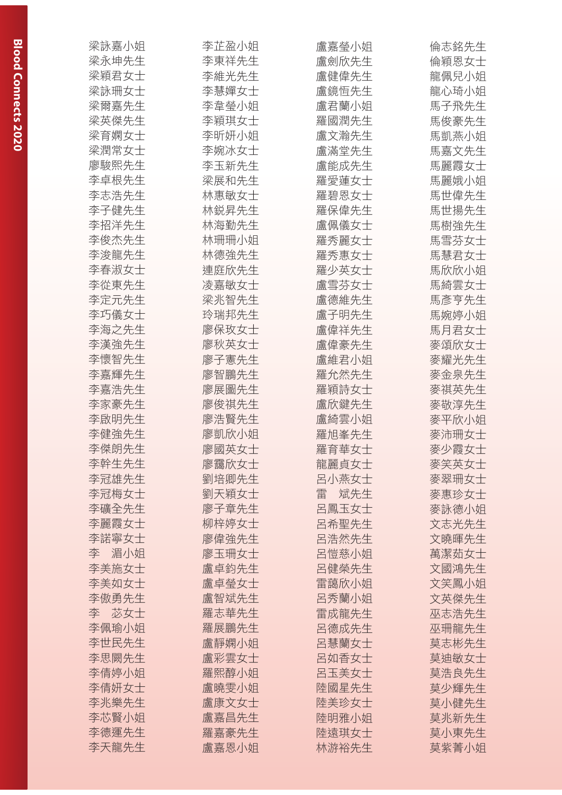| 梁詠嘉小姐    | 李芷盈小姐 | 盧嘉瑩小姐    | 倫志銘先生 |
|----------|-------|----------|-------|
| 梁永坤先生    | 李東祥先生 | 盧劍欣先生    | 倫穎恩女士 |
| 梁穎君女士    | 李維光先生 | 盧健偉先生    | 龍佩兒小姐 |
| 梁詠珊女士    | 李慧嬋女士 | 盧鏡恆先生    | 龍心琦小姐 |
| 梁爾嘉先生    | 李韋瑩小姐 | 盧君蘭小姐    | 馬子飛先生 |
| 梁英傑先生    | 李穎琪女士 | 羅國潤先生    | 馬俊豪先生 |
| 梁育嫻女士    | 李昕妍小姐 | 盧文瀚先生    | 馬凱燕小姐 |
| 梁潤常女士    | 李婉冰女士 | 盧滿堂先生    | 馬嘉文先生 |
| 廖駿熙先生    | 李玉新先生 | 盧能成先生    | 馬麗霞女士 |
| 李卓根先生    | 梁展和先生 | 羅愛蓮女士    | 馬麗娥小姐 |
| 李志浩先生    | 林惠敏女士 | 羅碧恩女士    | 馬世偉先生 |
| 李子健先生    | 林鋭昇先生 | 羅保偉先生    | 馬世揚先生 |
| 李招洋先生    | 林海勤先生 | 盧佩儀女士    | 馬樹強先生 |
| 李俊杰先生    | 林珊珊小姐 | 羅秀麗女士    | 馬雪芬女士 |
| 李浚龍先生    | 林德強先生 | 羅秀惠女士    | 馬慧君女士 |
| 李春淑女士    | 連庭欣先生 | 羅少英女士    | 馬欣欣小姐 |
| 李從東先生    | 凌嘉敏女士 | 盧雪芬女士    | 馬綺雲女士 |
| 李定元先生    | 梁兆智先生 | 盧德維先生    | 馬彥亨先生 |
| 李巧儀女士    | 玲瑞邦先生 | 盧子明先生    | 馬婉婷小姐 |
| 李海之先生    | 廖保玫女士 | 盧偉祥先生    | 馬月君女士 |
| 李漢強先生    | 廖秋英女士 | 盧偉豪先生    | 麥頌欣女士 |
| 李懷智先生    |       | 盧維君小姐    |       |
|          | 廖子憲先生 |          | 麥耀光先生 |
| 李嘉輝先生    | 廖智鵬先生 | 羅允然先生    | 麥金泉先生 |
| 李嘉浩先生    | 廖展圖先生 | 羅穎詩女士    | 麥祺英先生 |
| 李家豪先生    | 廖俊祺先生 | 盧欣鍵先生    | 麥敬淳先生 |
| 李啟明先生    | 廖浩賢先生 | 盧綺雲小姐    | 麥平欣小姐 |
| 李健強先生    | 廖凱欣小姐 | 羅旭峯先生    | 麥沛珊女士 |
| 李傑朗先生    | 廖國英女十 | 羅育華女士    | 麥少霞女士 |
| 李幹生先生    | 廖靄欣女士 | 龍麗貞女士    | 麥笑英女士 |
| 李冠雄先生    | 劉培卿先生 | 呂小燕女士    | 麥翠珊女士 |
| 李冠梅女士    | 劉天穎女士 | 斌先生<br>雷 | 麥惠珍女士 |
| 李礦全先生    | 廖子章先生 | 呂鳳玉女士    | 麥詠德小姐 |
| 李麗霞女士    | 柳梓婷女士 | 呂希聖先生    | 文志光先生 |
| 李諾寧女士    | 廖偉強先生 | 呂浩然先生    | 文曉暉先生 |
| 李<br>湄小姐 | 廖玉珊女士 | 呂愷慈小姐    | 萬潔茹女士 |
| 李美施女士    | 盧卓鈞先生 | 呂健榮先生    | 文國鴻先生 |
| 李美如女士    | 盧卓榮女士 | 雷藹欣小姐    | 文笑鳳小姐 |
| 李傲勇先生    | 盧智斌先生 | 呂秀蘭小姐    | 文英傑先生 |
| 苾女士<br>李 | 羅志華先生 | 雷成龍先生    | 巫志浩先生 |
| 李佩瑜小姐    | 羅展鵬先生 | 呂德成先生    | 巫珊龍先生 |
| 李世民先生    | 盧靜嫻小姐 | 呂慧蘭女士    | 莫志彬先生 |
| 李思闕先生    | 盧彩雲女士 | 呂如香女士    | 莫迪敏女士 |
| 李倩婷小姐    | 羅熙醇小姐 | 呂玉美女士    | 莫浩良先生 |
| 李倩妍女士    | 盧曉雯小姐 | 陸國星先生    | 莫少輝先生 |
| 李兆樂先生    | 盧康文女士 | 陸美珍女士    | 莫小健先生 |
| 李芯賢小姐    | 盧嘉昌先生 | 陸明雅小姐    | 莫兆新先生 |
| 李德運先生    | 羅嘉豪先生 | 陸遠琪女士    | 莫小東先生 |
| 李天龍先生    | 盧嘉恩小姐 | 林游裕先生    | 莫紫菁小姐 |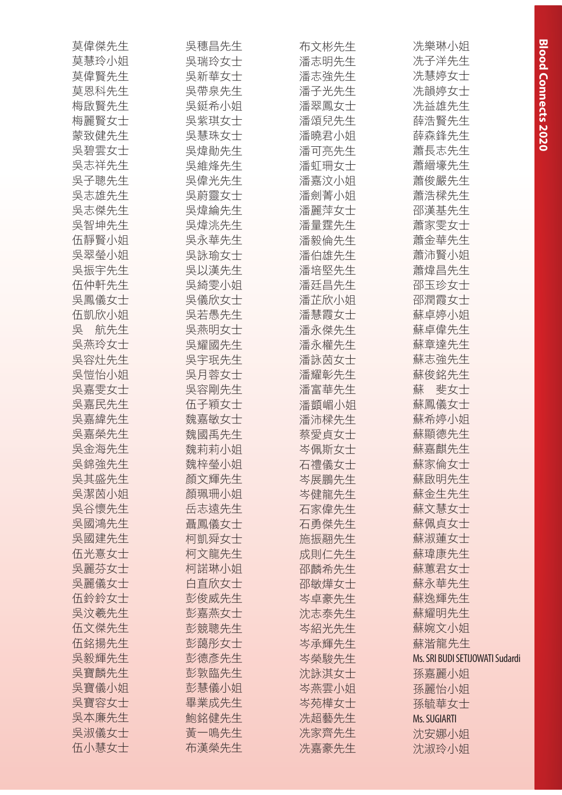| 莫偉傑先生    | 吳穗昌先生 | 布文彬先生 | 冼樂琳小姐                           |
|----------|-------|-------|---------------------------------|
| 莫慧玲小姐    | 吳瑞玲女士 | 潘志明先生 | 冼子洋先生                           |
| 莫偉賢先生    | 吳新華女士 | 潘志強先生 | 冼慧婷女士                           |
| 莫恩科先生    | 吳帶泉先生 | 潘子光先生 | 冼韻婷女士                           |
| 梅啟賢先生    | 吳鋌希小姐 | 潘翠鳳女士 | 冼益雄先生                           |
| 梅麗賢女士    | 吳紫琪女士 | 潘頌兒先生 | 薛浩賢先生                           |
| 蒙致健先生    | 吳慧珠女士 | 潘曉君小姐 | 薛森鋒先生                           |
| 吳碧雲女士    | 吳煒勛先生 | 潘可亮先生 | 蕭長志先生                           |
| 吳志祥先生    | 吳維烽先生 | 潘虹珊女士 | 蕭縉壕先生                           |
| 吳子聰先生    | 吳偉光先生 | 潘嘉汶小姐 | 蕭俊嚴先生                           |
| 吳志雄先生    | 吳蔚靈女士 | 潘劍菁小姐 | 蕭浩樑先生                           |
| 吳志傑先生    | 吳煒綸先生 | 潘麗萍女士 | 邵漢基先生                           |
| 吳智坤先生    | 吳煒洮先生 | 潘量霆先生 | 蕭家雯女士                           |
| 伍靜賢小姐    | 吳永華先生 | 潘毅倫先生 | 蕭金華先生                           |
| 吳翠瑩小姐    | 吳詠瑜女士 | 潘伯雄先生 | 蕭沛賢小姐                           |
| 吳振宇先生    | 吳以漢先生 | 潘培堅先生 | 蕭煒昌先生                           |
| 伍仲軒先生    | 吳綺雯小姐 | 潘廷昌先生 | 邵玉珍女士                           |
| 吳鳳儀女士    | 吳儀欣女士 | 潘芷欣小姐 | 邵潤霞女士                           |
| 伍凱欣小姐    | 吳若愚先生 | 潘慧霞女士 | 蘇卓婷小姐                           |
| 吳<br>航先生 | 吳燕明女士 | 潘永傑先生 | 蘇卓偉先生                           |
| 吳燕玲女士    | 吳耀國先生 | 潘永權先生 | 蘇章達先生                           |
| 吳容灶先生    | 吳宇珉先生 | 潘詠茵女士 | 蘇志強先生                           |
| 吳愷怡小姐    | 吳月蓉女士 | 潘耀彰先生 | 蘇俊銘先生                           |
| 吳嘉雯女士    | 吳容剛先生 | 潘富華先生 | 蘇<br>斐女士                        |
| 吳嘉民先生    | 伍子穎女士 | 潘顗嵋小姐 | 蘇鳳儀女士                           |
| 吳嘉緯先生    | 魏嘉敏女士 | 潘沛樑先生 | 蘇希婷小姐                           |
| 吳嘉榮先生    | 魏國禹先生 | 蔡愛貞女士 | 蘇顯德先生                           |
| 吳金海先生    | 魏莉莉小姐 | 岑佩斯女士 | 蘇嘉麒先生                           |
| 吳錦強先生    | 魏梓瑩小姐 | 石禮儀女士 | 蘇家倫女士                           |
| 吳其盛先生    | 顏文輝先生 | 岑展鵬先生 | 蘇啟明先生                           |
| 吳潔茵小姐    | 顏珮珊小姐 | 岑健龍先生 | 蘇金生先生                           |
| 吳谷懷先生    | 岳志遠先生 | 石家偉先生 | 蘇文慧女士                           |
| 吳國鴻先生    | 聶鳳儀女士 | 石勇傑先生 | 蘇佩貞女士                           |
| 吳國建先生    | 柯凱舜女士 | 施振翮先生 | 蘇淑蓮女士                           |
| 伍光憙女士    | 柯文龍先生 | 成則仁先生 | 蘇瑋康先生                           |
| 吳麗芬女士    | 柯諾琳小姐 | 邵麟希先生 | 蘇蕙君女士                           |
| 吳麗儀女士    | 白直欣女士 | 邵敏燁女士 | 蘇永華先生                           |
| 伍鈴鈴女士    | 彭俊威先生 | 岑卓豪先生 | 蘇逸輝先生                           |
| 吳汶羲先生    | 彭嘉燕女士 | 沈志泰先生 | 蘇耀明先生                           |
| 伍文傑先生    | 彭競聰先生 | 岑紹光先生 | 蘇婉文小姐                           |
| 伍銘揚先生    | 彭藹彤女士 | 岑承輝先生 | 蘇湝龍先生                           |
| 吳毅輝先生    | 彭德彥先生 | 岑榮駿先生 | Ms. SRI BUDI SETIJOWATI Sudardi |
| 吳寶麟先生    | 彭敦臨先生 | 沈詠淇女士 | 孫嘉麗小姐                           |
| 吳寶儀小姐    | 彭慧儀小姐 | 岑燕雲小姐 | 孫麗怡小姐                           |
| 吳寶容女士    | 畢業成先生 | 岑苑樺女士 | 孫毓華女士                           |
| 吳本廉先生    | 鮑銘健先生 | 冼超藝先生 | Ms. SUGIARTI                    |
| 吳淑儀女士    | 黃一鳴先生 | 冼家齊先生 | 沈安娜小姐                           |
| 伍小慧女士    | 布漢榮先生 | 冼嘉豪先生 | 沈淑玲小姐                           |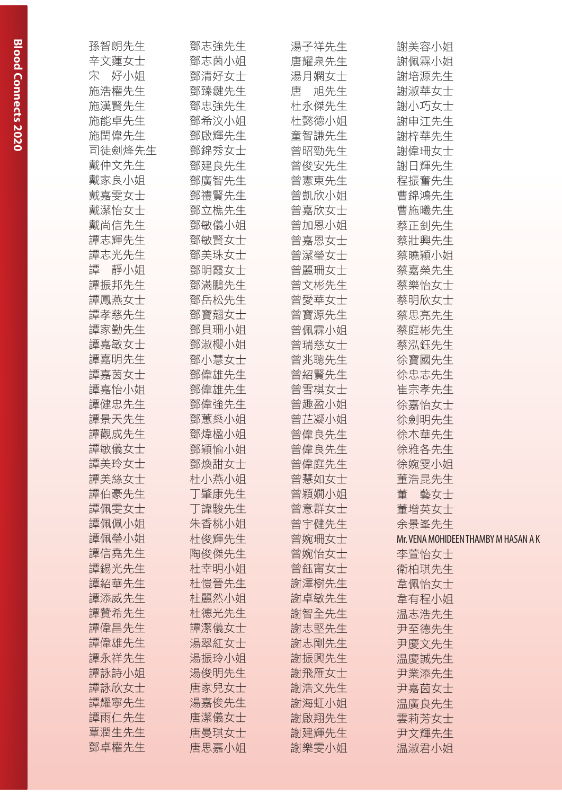| 孫智朗先生    | 鄧志強先生 | 湯子祥先生    | 謝美容小姐                                |
|----------|-------|----------|--------------------------------------|
| 辛文蓮女士    | 鄧志茵小姐 | 唐耀泉先生    | 謝佩霖小姐                                |
| 宋 好小姐    | 鄧清好女士 | 湯月嫻女士    | 謝培源先生                                |
| 施浩權先生    | 鄧臻鍵先生 | 旭先生<br>唐 | 謝淑華女士                                |
| 施漢賢先生    | 鄧忠強先生 | 杜永傑先生    | 謝小巧女士                                |
| 施能卓先生    | 鄧希汶小姐 | 杜懿德小姐    | 謝申江先生                                |
| 施閏偉先生    | 鄧啟輝先生 | 童智謙先生    | 謝梓華先生                                |
| 司徒劍烽先生   | 鄧錦秀女士 | 曾昭勁先生    | 謝偉珊女士                                |
| 戴仲文先生    | 鄧建良先生 | 曾俊安先生    | 謝日輝先生                                |
| 戴家良小姐    | 鄧廣智先生 | 曾憲東先生    | 程振奮先生                                |
| 戴嘉雯女士    | 鄧禮賢先生 | 曾凱欣小姐    | 曹錦鴻先生                                |
| 戴潔怡女士    | 鄧立樵先生 | 曾嘉欣女士    | 曹施曦先生                                |
| 戴尚信先生    | 鄧敏儀小姐 | 曾加恩小姐    | 蔡正釗先生                                |
| 譚志輝先生    | 鄧敏賢女士 | 曾嘉恩女士    | 蔡壯興先生                                |
| 譚志光先生    | 鄧美珠女士 | 曾潔瑩女士    | 蔡曉穎小姐                                |
| 譚<br>靜小姐 | 鄧明霞女士 | 曾麗珊女士    | 蔡嘉榮先生                                |
| 譚振邦先生    | 鄧滿鵬先生 | 曾文彬先生    | 蔡樂怡女士                                |
| 譚鳳燕女士    | 鄧岳松先生 | 曾愛華女士    | 蔡明欣女士                                |
| 譚孝慈先生    | 鄧寶翹女士 | 曾寶源先生    | 蔡思亮先生                                |
| 譚家勤先生    | 鄧貝珊小姐 | 曾佩霖小姐    | 蔡庭彬先生                                |
| 譚嘉敏女士    | 鄧淑櫻小姐 | 曾瑞慈女士    | 蔡泓鈺先生                                |
| 譚嘉明先生    | 鄧小慧女士 | 曾兆聰先生    | 徐寶國先生                                |
| 譚嘉茵女士    | 鄧偉雄先生 | 曾紹賢先生    | 徐忠志先生                                |
| 譚嘉怡小姐    | 鄧偉雄先生 | 曾雪棋女士    | 崔宗孝先生                                |
| 譚健忠先生    | 鄧偉強先生 | 曾趣盈小姐    | 徐嘉怡女士                                |
| 譚景天先生    | 鄧蕙燊小姐 | 曾芷凝小姐    | 徐劍明先生                                |
| 譚觀成先生    | 鄧煒楹小姐 | 曾偉良先生    | 徐木華先生                                |
| 譚敏儀女士    | 鄧穎愉小姐 | 曾偉良先生    | 徐雅各先生                                |
| 譚美玲女士    | 鄧煥甜女士 | 曾偉庭先生    | 徐婉雯小姐                                |
| 譚美絲女士    | 杜小燕小姐 | 曾慧如女士    | 董浩昆先生                                |
| 譚伯豪先生    | 丁肇康先生 | 曾穎嫺小姐    | 董<br>藝女士                             |
| 譚佩雯女士    | 丁諱駿先生 | 曾意群女士    | 董增英女士                                |
| 譚佩佩小姐    | 朱香桃小姐 | 曾宇健先生    | 余景峯先生                                |
| 譚佩瑩小姐    | 杜俊輝先生 | 曾婉珊女士    | Mr. VENA MOHIDEEN THAMBY M HASAN A K |
| 譚信堯先生    | 陶俊傑先生 | 曾婉怡女士    | 李萱怡女士                                |
| 譚錫光先生    | 杜幸明小姐 | 曾鈺甯女士    | 衛柏琪先生                                |
| 譚紹華先生    | 杜愷晉先生 | 謝澤樹先生    | 韋佩怡女士                                |
| 譚添威先生    | 杜麗然小姐 | 謝卓敏先生    | 韋有程小姐                                |
| 譚贊希先生    | 杜德光先生 | 謝智全先生    | 温志浩先生                                |
| 譚偉昌先生    | 譚潔儀女士 | 謝志堅先生    | 尹至德先生                                |
| 譚偉雄先生    | 湯翠紅女士 | 謝志剛先生    | 尹慶文先生                                |
| 譚永祥先生    | 湯振玲小姐 | 謝振興先生    | 温慶誠先生                                |
| 譚詠詩小姐    | 湯俊明先生 | 謝飛雁女士    | 尹業添先生                                |
| 譚詠欣女士    | 唐家兒女士 | 謝浩文先生    | 尹嘉茵女士                                |
| 譚耀寧先生    | 湯嘉俊先生 | 謝海虹小姐    | 温廣良先生                                |
| 譚雨仁先生    | 唐潔儀女士 | 謝啟翔先生    | 雲莉芳女士                                |
| 覃潤生先生    | 唐曼琪女士 | 謝建輝先生    | 尹文輝先生                                |
| 鄧卓權先生    | 唐思嘉小姐 | 謝樂雯小姐    | 温淑君小姐                                |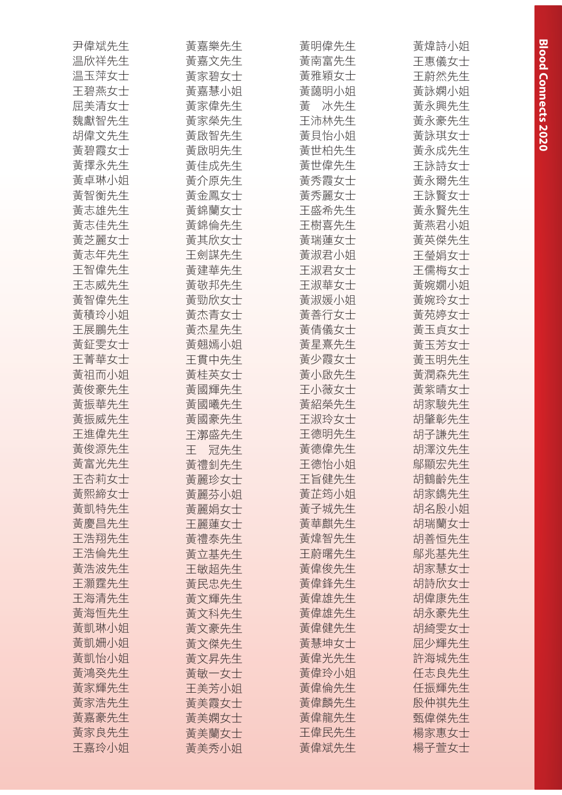| 尹偉斌先生 | 黃嘉樂先生     | 黃明偉先生    | 黃煒詩小姐 |
|-------|-----------|----------|-------|
| 温欣祥先生 | 黃嘉文先生     | 黃南富先生    | 王惠儀女士 |
| 温玉萍女士 | 黃家碧女士     | 黃雅穎女士    | 王蔚然先生 |
| 王碧燕女士 | 黃嘉慧小姐     | 黃藹明小姐    | 黃詠嫻小姐 |
| 屈美清女士 | 黃家偉先生     | 畵<br>冰先生 | 黃永興先生 |
| 魏獻智先生 | 黃家榮先生     | 王沛林先生    | 黃永豪先生 |
| 胡偉文先生 | 黃啟智先生     | 黃貝怡小姐    | 黃詠琪女士 |
| 黃碧霞女士 | 黃啟明先生     | 黃世柏先生    | 黃永成先生 |
| 黃擇永先生 | 黃佳成先生     | 黃世偉先生    | 王詠詩女士 |
| 黃卓琳小姐 | 黃介原先生     | 黃秀霞女士    | 黃永爾先生 |
| 黃智衡先生 | 黃金鳳女士     | 黃秀麗女士    | 王詠賢女士 |
| 黃志雄先生 | 黃錦蘭女士     | 王盛希先生    | 黃永賢先生 |
| 黃志佳先生 | 黃錦倫先生     | 王樹喜先生    | 黃燕君小姐 |
| 黃芝麗女士 | 黃其欣女士     | 黃瑞蓮女士    | 黃英傑先生 |
| 黃志年先生 | 王劍謀先生     | 黃淑君小姐    | 王瑩娟女士 |
| 王智偉先生 | 黃建華先生     | 王淑君女士    | 王儒梅女士 |
| 王志威先生 | 黃敬邦先生     | 王淑華女士    | 黃婉嫺小姐 |
| 黃智偉先生 | 黃勁欣女士     | 黃淑媛小姐    | 黃婉玲女士 |
| 黃積玲小姐 | 黃杰青女士     | 黃善行女士    | 黃苑婷女士 |
| 王展鵬先生 | 黃杰星先生     | 黃倩儀女十    | 黃玉貞女士 |
| 黃鉦雯女士 | 黃翹嫣小姐     | 黃星熹先生    | 黃玉芳女士 |
| 王菁華女士 | 王貫中先生     | 黃少霞女士    | 黃玉明先生 |
| 黃祖而小姐 | 黃桂英女士     | 黃小啟先生    | 黃潤森先生 |
| 黃俊豪先生 | 黃國輝先生     | 王小薇女士    | 黃紫晴女士 |
| 黃振華先生 | 黃國曦先生     | 黃紹榮先生    | 胡家駿先生 |
| 黃振威先生 | 黃國豪先生     | 王淑玲女士    | 胡肇彰先生 |
| 王進偉先生 | 王漷盛先生     | 王德明先生    | 胡子謙先生 |
| 黃俊源先生 | Ŧ.<br>冠先生 | 黃德偉先生    | 胡澤汶先生 |
| 黃富光先生 | 黃禮釗先生     | 王德怡小姐    | 鄔顯宏先生 |
| 王杏莉女士 | 黃麗珍女士     | 王旨健先生    | 胡鶴齡先生 |
| 黃熙締女士 | 黃麗芬小姐     | 黃芷筠小姐    | 胡家鐫先生 |
| 黃凱特先生 | 黃麗娟女士     | 黃子城先生    | 胡名殷小姐 |
| 黃慶昌先生 | 王麗蓮女士     | 黃華麒先生    | 胡瑞蘭女士 |
| 王浩翔先生 | 黃禮泰先生     | 黃煒智先生    | 胡善恒先生 |
| 王浩倫先生 | 黃立基先生     | 王蔚曙先生    | 鄔兆基先生 |
| 黃浩波先生 | 王敏超先生     | 黃偉俊先生    | 胡家慧女士 |
| 王灝霆先生 | 黃民忠先生     | 黃偉鋒先生    | 胡詩欣女士 |
| 王海清先生 | 黃文輝先生     | 黃偉雄先生    | 胡偉康先生 |
| 黃海恒先生 | 黃文科先生     | 黃偉雄先生    | 胡永豪先生 |
| 黃凱琳小姐 | 黃文豪先生     | 黃偉健先生    | 胡綺雯女士 |
| 黃凱姍小姐 | 黃文傑先生     | 黃慧坤女士    | 屈少輝先生 |
| 黃凱怡小姐 | 黃文昇先生     | 黃偉光先生    | 許海城先生 |
| 黃鴻癸先生 | 黃敏一女士     | 黃偉玲小姐    | 任志良先生 |
| 黃家輝先生 | 王美芳小姐     | 黃偉倫先生    | 任振輝先生 |
| 黃家浩先生 | 黃美霞女士     | 黃偉麟先生    | 殷仲祺先生 |
| 黃嘉豪先生 | 黃美嫻女士     | 黃偉龍先生    | 甄偉傑先生 |
| 黃家良先生 | 黃美蘭女士     | 王偉民先生    | 楊家惠女士 |
| 王嘉玲小姐 | 黃美秀小姐     | 黃偉斌先生    | 楊子萱女士 |